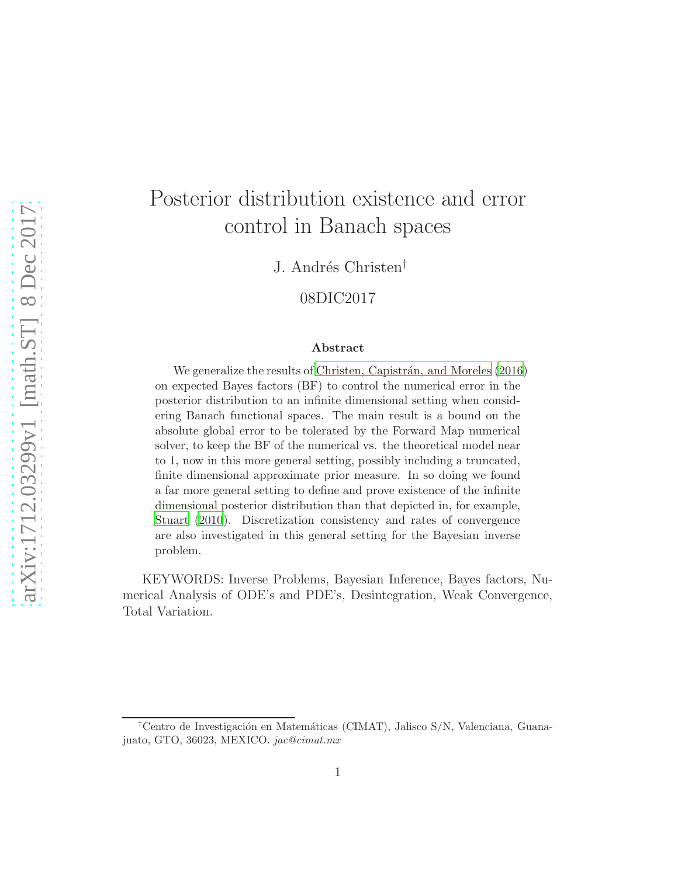# Posterior distribution existence and error control in Banach spaces

J. Andrés Christen<sup>†</sup>

08DIC2017

#### Abstract

We generalize the results of Christen, Capistrán, and Moreles (2016) on expected Bayes factors (BF) to control the numerical error in the posterior distribution to an infinite dimensional setting when considering Banach functional spaces. The main result is a bound on the absolute global error to be tolerated by the Forward Map numerical solver, to keep the BF of the numerical vs. the theoretical model near to 1, now in this more general setting, possibly including a truncated, finite dimensional approximate prior measure. In so doing we found a far more general setting to define and prove existence of the infinite dimensional posterior distribution than that depicted in, for example, [Stuart \(2010](#page-26-0)). Discretization consistency and rates of convergence are also investigated in this general setting for the Bayesian inverse problem.

KEYWORDS: Inverse Problems, Bayesian Inference, Bayes factors, Numerical Analysis of ODE's and PDE's, Desintegration, Weak Convergence, Total Variation.

<sup>&</sup>lt;sup>†</sup>Centro de Investigación en Matemáticas (CIMAT), Jalisco S/N, Valenciana, Guanajuato, GTO, 36023, MEXICO. jac@cimat.mx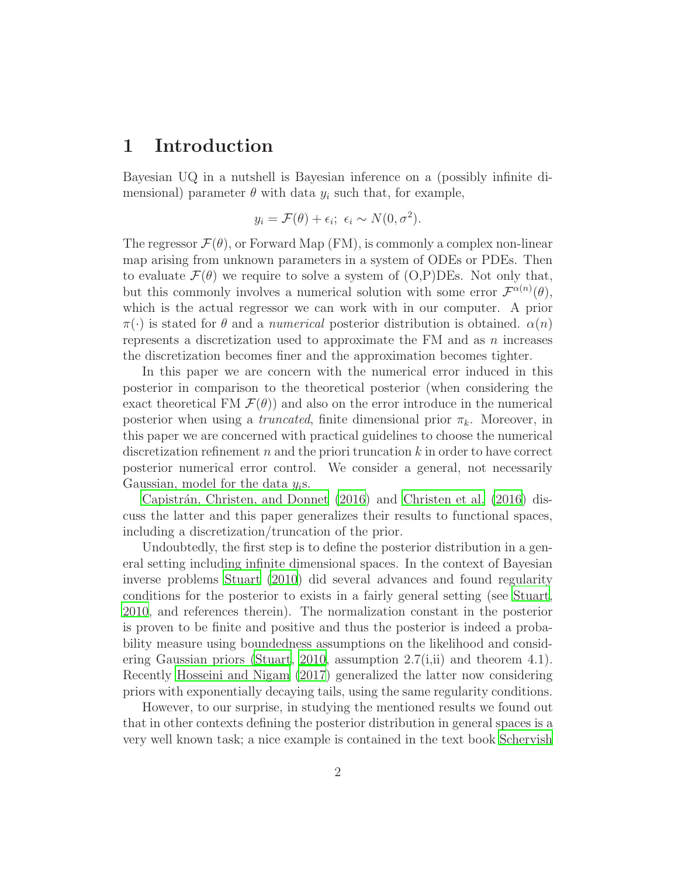## 1 Introduction

Bayesian UQ in a nutshell is Bayesian inference on a (possibly infinite dimensional) parameter  $\theta$  with data  $y_i$  such that, for example,

$$
y_i = \mathcal{F}(\theta) + \epsilon_i; \ \epsilon_i \sim N(0, \sigma^2).
$$

The regressor  $\mathcal{F}(\theta)$ , or Forward Map (FM), is commonly a complex non-linear map arising from unknown parameters in a system of ODEs or PDEs. Then to evaluate  $\mathcal{F}(\theta)$  we require to solve a system of  $(O, P)$ DEs. Not only that, but this commonly involves a numerical solution with some error  $\mathcal{F}^{\alpha(n)}(\theta)$ , which is the actual regressor we can work with in our computer. A prior  $\pi(\cdot)$  is stated for  $\theta$  and a numerical posterior distribution is obtained.  $\alpha(n)$ represents a discretization used to approximate the FM and as  $n$  increases the discretization becomes finer and the approximation becomes tighter.

In this paper we are concern with the numerical error induced in this posterior in comparison to the theoretical posterior (when considering the exact theoretical FM  $\mathcal{F}(\theta)$  and also on the error introduce in the numerical posterior when using a *truncated*, finite dimensional prior  $\pi_k$ . Moreover, in this paper we are concerned with practical guidelines to choose the numerical discretization refinement  $n$  and the priori truncation  $k$  in order to have correct posterior numerical error control. We consider a general, not necessarily Gaussian, model for the data  $y_i$ s.

Capistrán, Christen, and Donnet (2016) and [Christen et al. \(2016](#page-24-0)) discuss the latter and this paper generalizes their results to functional spaces, including a discretization/truncation of the prior.

Undoubtedly, the first step is to define the posterior distribution in a general setting including infinite dimensional spaces. In the context of Bayesian inverse problems [Stuart \(2010\)](#page-26-0) did several advances and found regularity conditions for the posterior to exists in a fairly general setting (see [Stuart](#page-26-0), [2010](#page-26-0), and references therein). The normalization constant in the posterior is proven to be finite and positive and thus the posterior is indeed a probability measure using boundedness assumptions on the likelihood and consid-ering Gaussian priors [\(Stuart](#page-26-0), [2010](#page-26-0), assumption  $2.7(i,ii)$  and theorem 4.1). Recently [Hosseini and Nigam \(2017](#page-25-0)) generalized the latter now considering priors with exponentially decaying tails, using the same regularity conditions.

However, to our surprise, in studying the mentioned results we found out that in other contexts defining the posterior distribution in general spaces is a very well known task; a nice example is contained in the text book [Schervish](#page-26-1)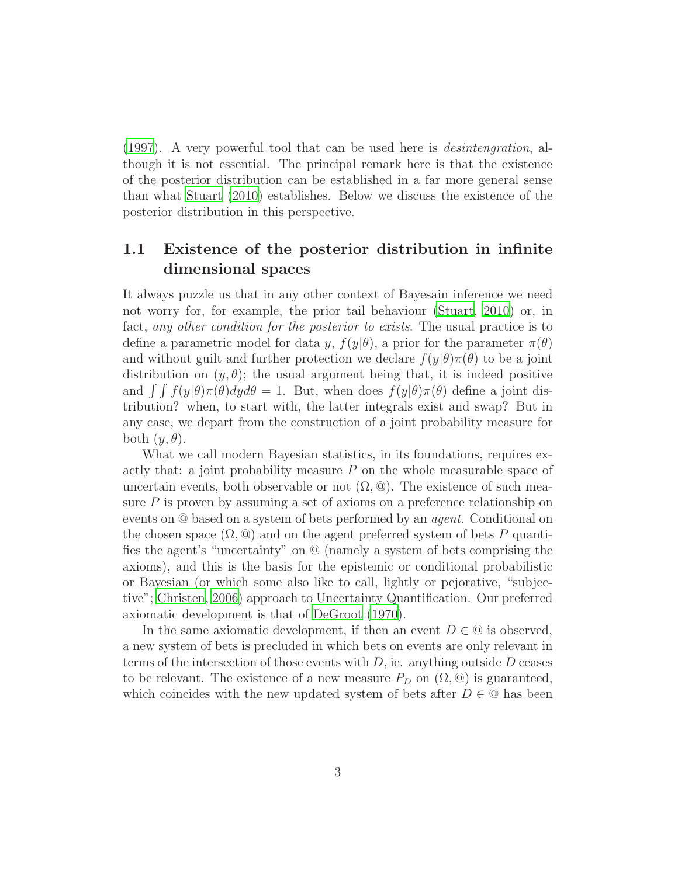[\(1997\)](#page-26-1). A very powerful tool that can be used here is desintengration, although it is not essential. The principal remark here is that the existence of the posterior distribution can be established in a far more general sense than what [Stuart \(2010](#page-26-0)) establishes. Below we discuss the existence of the posterior distribution in this perspective.

## 1.1 Existence of the posterior distribution in infinite dimensional spaces

It always puzzle us that in any other context of Bayesain inference we need not worry for, for example, the prior tail behaviour [\(Stuart](#page-26-0), [2010](#page-26-0)) or, in fact, any other condition for the posterior to exists. The usual practice is to define a parametric model for data y,  $f(y|\theta)$ , a prior for the parameter  $\pi(\theta)$ and without guilt and further protection we declare  $f(y|\theta)\pi(\theta)$  to be a joint distribution on  $(y, \theta)$ ; the usual argument being that, it is indeed positive and  $\int \int f(y|\theta)\pi(\theta)dyd\theta = 1$ . But, when does  $f(y|\theta)\pi(\theta)$  define a joint distribution? when, to start with, the latter integrals exist and swap? But in any case, we depart from the construction of a joint probability measure for both  $(y, \theta)$ .

What we call modern Bayesian statistics, in its foundations, requires exactly that: a joint probability measure  $P$  on the whole measurable space of uncertain events, both observable or not  $(\Omega, \mathbb{Q})$ . The existence of such measure P is proven by assuming a set of axioms on a preference relationship on events on @ based on a system of bets performed by an agent. Conditional on the chosen space  $(\Omega, \mathbb{Q})$  and on the agent preferred system of bets P quantifies the agent's "uncertainty" on @ (namely a system of bets comprising the axioms), and this is the basis for the epistemic or conditional probabilistic or Bayesian (or which some also like to call, lightly or pejorative, "subjective"; [Christen](#page-25-1), [2006](#page-25-1)) approach to Uncertainty Quantification. Our preferred axiomatic development is that of [DeGroot \(1970](#page-25-2)).

In the same axiomatic development, if then an event  $D \in \mathbb{Q}$  is observed, a new system of bets is precluded in which bets on events are only relevant in terms of the intersection of those events with  $D$ , ie. anything outside  $D$  ceases to be relevant. The existence of a new measure  $P_D$  on  $(\Omega, \mathcal{Q})$  is guaranteed, which coincides with the new updated system of bets after  $D \in \mathbb{Q}$  has been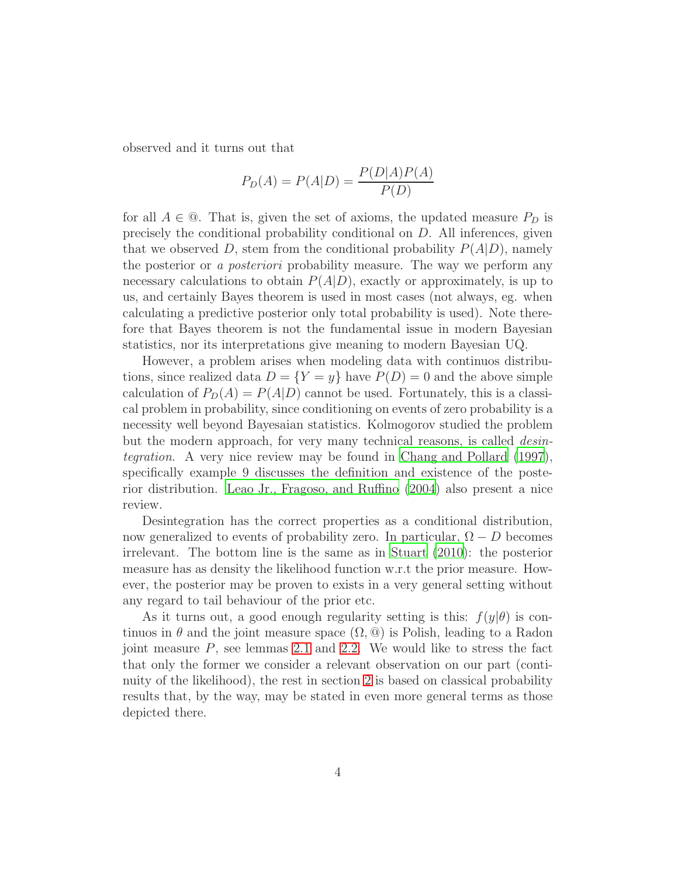observed and it turns out that

$$
P_D(A) = P(A|D) = \frac{P(D|A)P(A)}{P(D)}
$$

for all  $A \in \mathbb{Q}$ . That is, given the set of axioms, the updated measure  $P_D$  is precisely the conditional probability conditional on  $D$ . All inferences, given that we observed D, stem from the conditional probability  $P(A|D)$ , namely the posterior or a posteriori probability measure. The way we perform any necessary calculations to obtain  $P(A|D)$ , exactly or approximately, is up to us, and certainly Bayes theorem is used in most cases (not always, eg. when calculating a predictive posterior only total probability is used). Note therefore that Bayes theorem is not the fundamental issue in modern Bayesian statistics, nor its interpretations give meaning to modern Bayesian UQ.

However, a problem arises when modeling data with continuos distributions, since realized data  $D = \{Y = y\}$  have  $P(D) = 0$  and the above simple calculation of  $P_D(A) = P(A|D)$  cannot be used. Fortunately, this is a classical problem in probability, since conditioning on events of zero probability is a necessity well beyond Bayesaian statistics. Kolmogorov studied the problem but the modern approach, for very many technical reasons, is called *desin*tegration. A very nice review may be found in [Chang and Pollard \(1997\)](#page-24-2), specifically example 9 discusses the definition and existence of the posterior distribution. [Leao Jr., Fragoso, and Ruffino \(2004](#page-25-3)) also present a nice review.

Desintegration has the correct properties as a conditional distribution, now generalized to events of probability zero. In particular,  $\Omega - D$  becomes irrelevant. The bottom line is the same as in [Stuart \(2010\)](#page-26-0): the posterior measure has as density the likelihood function w.r.t the prior measure. However, the posterior may be proven to exists in a very general setting without any regard to tail behaviour of the prior etc.

As it turns out, a good enough regularity setting is this:  $f(y|\theta)$  is continuos in  $\theta$  and the joint measure space  $(\Omega, \mathcal{Q})$  is Polish, leading to a Radon joint measure  $P$ , see lemmas [2.1](#page-6-0) and [2.2.](#page-6-1) We would like to stress the fact that only the former we consider a relevant observation on our part (continuity of the likelihood), the rest in section [2](#page-5-0) is based on classical probability results that, by the way, may be stated in even more general terms as those depicted there.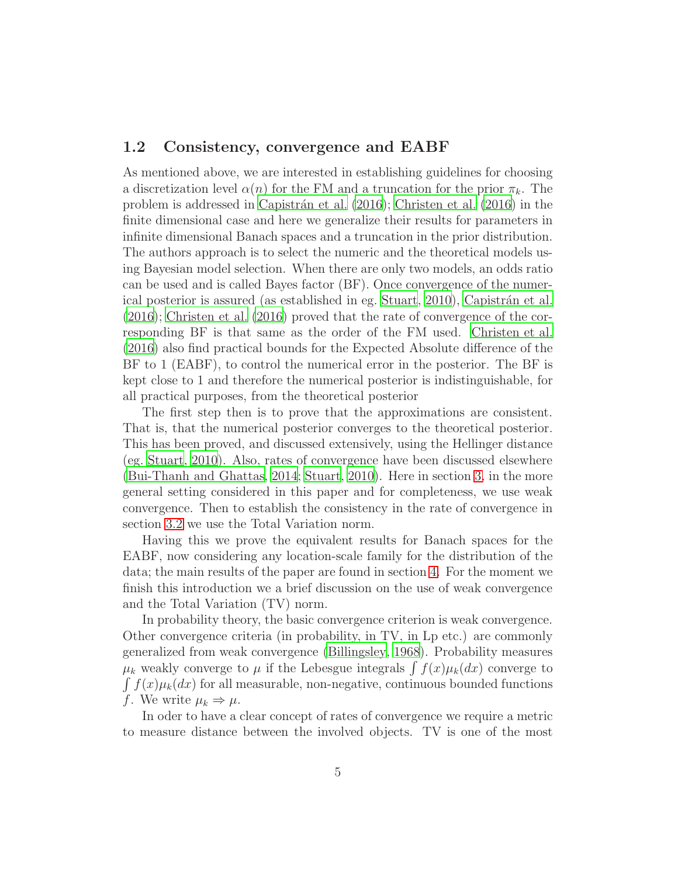#### 1.2 Consistency, convergence and EABF

As mentioned above, we are interested in establishing guidelines for choosing a discretization level  $\alpha(n)$  for the FM and a truncation for the prior  $\pi_k$ . The problem is addressed in [Capistr´an et al. \(2016](#page-24-1)); [Christen et al. \(2016\)](#page-24-0) in the finite dimensional case and here we generalize their results for parameters in infinite dimensional Banach spaces and a truncation in the prior distribution. The authors approach is to select the numeric and the theoretical models using Bayesian model selection. When there are only two models, an odds ratio can be used and is called Bayes factor (BF). Once convergence of the numer-ical posterior is assured (as established in eg. [Stuart](#page-26-0), [2010\)](#page-26-0), Capistrán et al. [\(2016\)](#page-24-1); [Christen et al. \(2016](#page-24-0)) proved that the rate of convergence of the corresponding BF is that same as the order of the FM used. [Christen et](#page-24-0) al. [\(2016\)](#page-24-0) also find practical bounds for the Expected Absolute difference of the BF to 1 (EABF), to control the numerical error in the posterior. The BF is kept close to 1 and therefore the numerical posterior is indistinguishable, for all practical purposes, from the theoretical posterior

The first step then is to prove that the approximations are consistent. That is, that the numerical posterior converges to the theoretical posterior. This has been proved, and discussed extensively, using the Hellinger distance (eg. [Stuart](#page-26-0), [2010\)](#page-26-0). Also, rates of convergence have been discussed elsewhere [\(Bui-Thanh and Ghattas, 2014;](#page-24-3) [Stuart, 2010\)](#page-26-0). Here in section [3,](#page-8-0) in the more general setting considered in this paper and for completeness, we use weak convergence. Then to establish the consistency in the rate of convergence in section [3.2](#page-11-0) we use the Total Variation norm.

Having this we prove the equivalent results for Banach spaces for the EABF, now considering any location-scale family for the distribution of the data; the main results of the paper are found in section [4.](#page-14-0) For the moment we finish this introduction we a brief discussion on the use of weak convergence and the Total Variation (TV) norm.

In probability theory, the basic convergence criterion is weak convergence. Other convergence criteria (in probability, in TV, in Lp etc.) are commonly generalized from weak convergence [\(Billingsley](#page-24-4), [1968](#page-24-4)). Probability measures  $\mu_k$  weakly converge to  $\mu$  if the Lebesgue integrals  $\int f(x)\mu_k(dx)$  converge to  $\int f(x)\mu_k(dx)$  for all measurable, non-negative, continuous bounded functions f. We write  $\mu_k \Rightarrow \mu$ .

In oder to have a clear concept of rates of convergence we require a metric to measure distance between the involved objects. TV is one of the most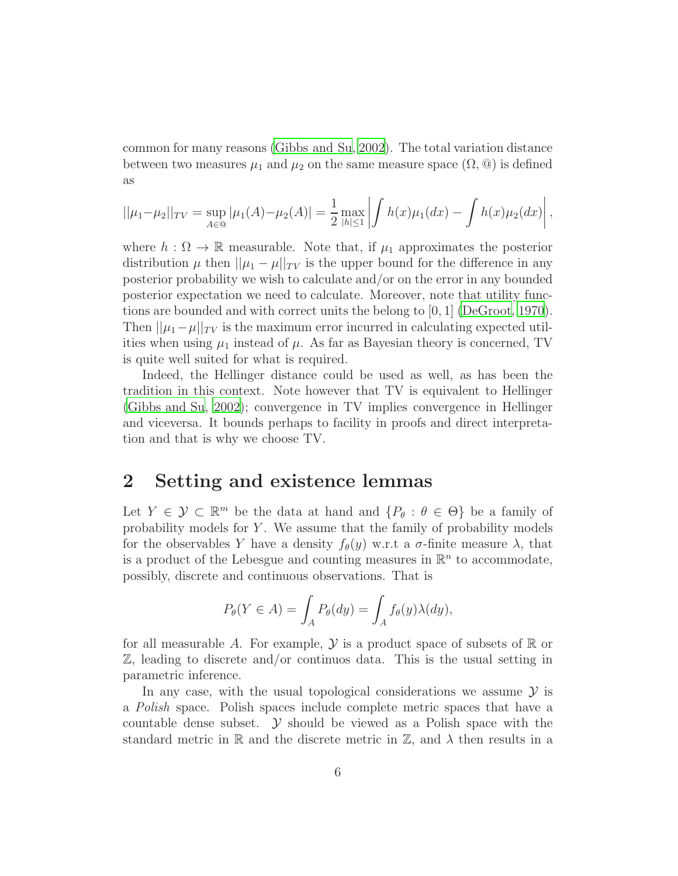common for many reasons [\(Gibbs and Su](#page-25-4), [2002\)](#page-25-4). The total variation distance between two measures  $\mu_1$  and  $\mu_2$  on the same measure space  $(\Omega, \mathcal{Q})$  is defined as

$$
||\mu_1 - \mu_2||_{TV} = \sup_{A \in \mathcal{Q}} |\mu_1(A) - \mu_2(A)| = \frac{1}{2} \max_{|h| \le 1} \left| \int h(x) \mu_1(dx) - \int h(x) \mu_2(dx) \right|,
$$

where  $h : \Omega \to \mathbb{R}$  measurable. Note that, if  $\mu_1$  approximates the posterior distribution  $\mu$  then  $||\mu_1 - \mu||_{TV}$  is the upper bound for the difference in any posterior probability we wish to calculate and/or on the error in any bounded posterior expectation we need to calculate. Moreover, note that utility functions are bounded and with correct units the belong to [0, 1] [\(DeGroot, 1970\)](#page-25-2). Then  $||\mu_1-\mu||_{TV}$  is the maximum error incurred in calculating expected utilities when using  $\mu_1$  instead of  $\mu$ . As far as Bayesian theory is concerned, TV is quite well suited for what is required.

Indeed, the Hellinger distance could be used as well, as has been the tradition in this context. Note however that TV is equivalent to Hellinger [\(Gibbs and Su](#page-25-4), [2002\)](#page-25-4); convergence in TV implies convergence in Hellinger and viceversa. It bounds perhaps to facility in proofs and direct interpretation and that is why we choose TV.

## <span id="page-5-0"></span>2 Setting and existence lemmas

Let  $Y \in \mathcal{Y} \subset \mathbb{R}^m$  be the data at hand and  $\{P_\theta : \theta \in \Theta\}$  be a family of probability models for Y . We assume that the family of probability models for the observables Y have a density  $f_{\theta}(y)$  w.r.t a  $\sigma$ -finite measure  $\lambda$ , that is a product of the Lebesgue and counting measures in  $\mathbb{R}^n$  to accommodate, possibly, discrete and continuous observations. That is

$$
P_{\theta}(Y \in A) = \int_{A} P_{\theta}(dy) = \int_{A} f_{\theta}(y) \lambda(dy),
$$

for all measurable A. For example,  $\mathcal Y$  is a product space of subsets of  $\mathbb R$  or Z, leading to discrete and/or continuos data. This is the usual setting in parametric inference.

In any case, with the usual topological considerations we assume  $\mathcal Y$  is a Polish space. Polish spaces include complete metric spaces that have a countable dense subset.  $\mathcal Y$  should be viewed as a Polish space with the standard metric in R and the discrete metric in Z, and  $\lambda$  then results in a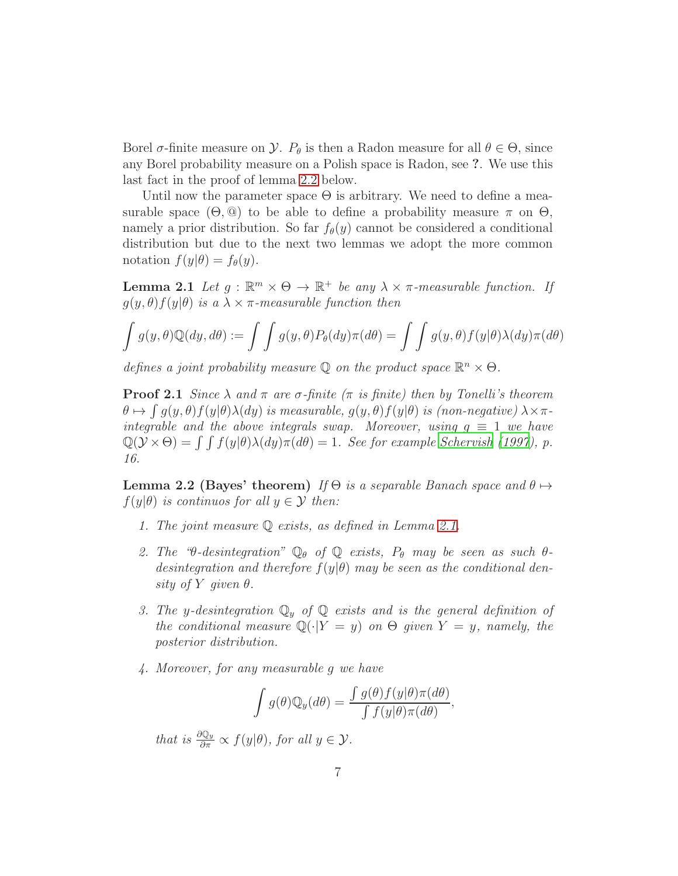Borel  $\sigma$ -finite measure on  $\mathcal Y$ .  $P_\theta$  is then a Radon measure for all  $\theta \in \Theta$ , since any Borel probability measure on a Polish space is Radon, see ?. We use this last fact in the proof of lemma [2.2](#page-6-1) below.

Until now the parameter space  $\Theta$  is arbitrary. We need to define a measurable space  $(\Theta, \mathbb{Q})$  to be able to define a probability measure  $\pi$  on  $\Theta$ , namely a prior distribution. So far  $f_{\theta}(y)$  cannot be considered a conditional distribution but due to the next two lemmas we adopt the more common notation  $f(y|\theta) = f_{\theta}(y)$ .

<span id="page-6-0"></span>**Lemma 2.1** Let  $g : \mathbb{R}^m \times \Theta \to \mathbb{R}^+$  be any  $\lambda \times \pi$ -measurable function. If  $g(y, \theta) f(y|\theta)$  is a  $\lambda \times \pi$ -measurable function then

$$
\int g(y,\theta)\mathbb{Q}(dy,d\theta) := \int \int g(y,\theta)P_{\theta}(dy)\pi(d\theta) = \int \int g(y,\theta)f(y|\theta)\lambda(dy)\pi(d\theta)
$$

defines a joint probability measure  $\mathbb{Q}$  on the product space  $\mathbb{R}^n \times \Theta$ .

**Proof 2.1** Since  $\lambda$  and  $\pi$  are  $\sigma$ -finite ( $\pi$  is finite) then by Tonelli's theorem  $\theta \mapsto \int g(y,\theta)f(y|\theta)\lambda(dy)$  is measurable,  $g(y,\theta)f(y|\theta)$  is (non-negative)  $\lambda \times \pi$ integrable and the above integrals swap. Moreover, using  $g \equiv 1$  we have  $\mathbb{Q}(\mathcal{Y} \times \Theta) = \int \int f(y|\theta) \lambda(dy) \pi(d\theta) = 1$ . See for example [Schervish \(1997\)](#page-26-1), p. 16.

<span id="page-6-1"></span>**Lemma 2.2 (Bayes' theorem)** If  $\Theta$  is a separable Banach space and  $\theta \mapsto$  $f(y|\theta)$  is continuos for all  $y \in \mathcal{Y}$  then:

- 1. The joint measure Q exists, as defined in Lemma [2.1.](#page-6-0)
- 2. The " $\theta$ -desintegration"  $\mathbb{Q}_{\theta}$  of  $\mathbb{Q}$  exists,  $P_{\theta}$  may be seen as such  $\theta$ desintegration and therefore  $f(y|\theta)$  may be seen as the conditional density of Y given  $\theta$ .
- 3. The y-desintegration  $\mathbb{Q}_y$  of  $\mathbb{Q}$  exists and is the general definition of the conditional measure  $\mathbb{Q}(\cdot|Y=y)$  on  $\Theta$  given  $Y=y$ , namely, the posterior distribution.
- 4. Moreover, for any measurable g we have

$$
\int g(\theta) \mathbb{Q}_y(d\theta) = \frac{\int g(\theta) f(y|\theta) \pi(d\theta)}{\int f(y|\theta) \pi(d\theta)},
$$

that is  $\frac{\partial \mathbb{Q}_y}{\partial \pi} \propto f(y|\theta)$ , for all  $y \in \mathcal{Y}$ .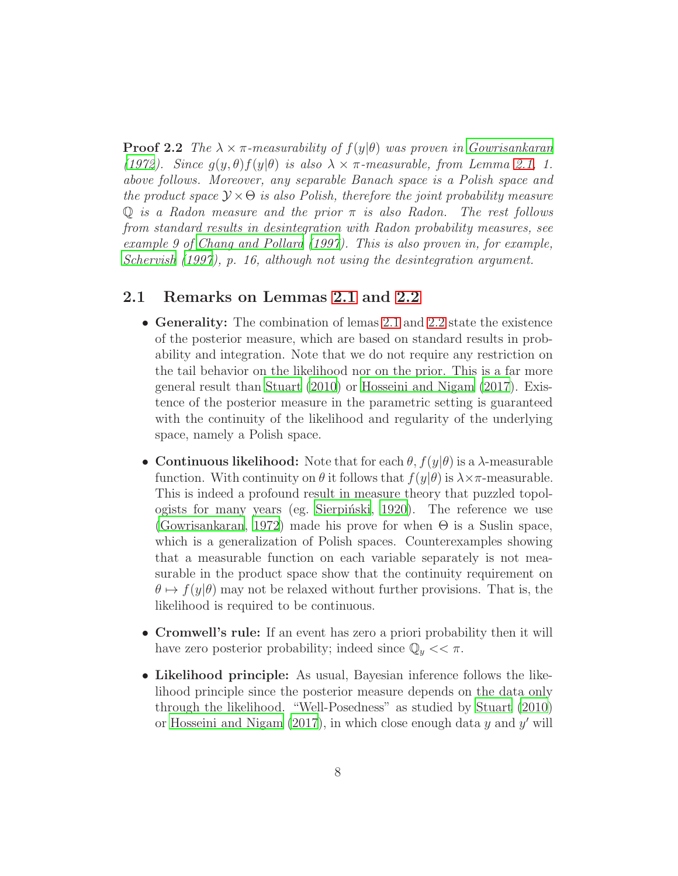**Proof 2.2** The  $\lambda \times \pi$ -measurability of  $f(y|\theta)$  was proven in [Gowrisankaran](#page-25-5) [\(1972\)](#page-25-5). Since  $g(y, \theta) f(y|\theta)$  is also  $\lambda \times \pi$ -measurable, from Lemma [2.1,](#page-6-0) 1. above follows. Moreover, any separable Banach space is a Polish space and the product space  $\mathcal{Y} \times \Theta$  is also Polish, therefore the joint probability measure Q is a Radon measure and the prior  $\pi$  is also Radon. The rest follows from standard results in desintegration with Radon probability measures, see example 9 of [Chang and Pollard \(1997\)](#page-24-2). This is also proven in, for example, [Schervish \(1997\)](#page-26-1), p. 16, although not using the desintegration argument.

#### 2.1 Remarks on Lemmas [2.1](#page-6-0) and [2.2](#page-6-1)

- Generality: The combination of lemas [2.1](#page-6-0) and [2.2](#page-6-1) state the existence of the posterior measure, which are based on standard results in probability and integration. Note that we do not require any restriction on the tail behavior on the likelihood nor on the prior. This is a far more general result than [Stuart \(2010](#page-26-0)) or [Hosseini and Nigam \(2017\)](#page-25-0). Existence of the posterior measure in the parametric setting is guaranteed with the continuity of the likelihood and regularity of the underlying space, namely a Polish space.
- Continuous likelihood: Note that for each  $\theta$ ,  $f(y|\theta)$  is a  $\lambda$ -measurable function. With continuity on  $\theta$  it follows that  $f(y|\theta)$  is  $\lambda \times \pi$ -measurable. This is indeed a profound result in measure theory that puzzled topol-ogists for many years (eg. Sierpiński, [1920\)](#page-26-2). The reference we use [\(Gowrisankaran, 1972](#page-25-5)) made his prove for when  $\Theta$  is a Suslin space, which is a generalization of Polish spaces. Counterexamples showing that a measurable function on each variable separately is not measurable in the product space show that the continuity requirement on  $\theta \mapsto f(y|\theta)$  may not be relaxed without further provisions. That is, the likelihood is required to be continuous.
- Cromwell's rule: If an event has zero a priori probability then it will have zero posterior probability; indeed since  $\mathbb{Q}_y \ll \pi$ .
- Likelihood principle: As usual, Bayesian inference follows the likelihood principle since the posterior measure depends on the data only through the likelihood. "Well-Posedness" as studied by [Stuart \(2010\)](#page-26-0) or Hosseini and Nigam  $(2017)$ , in which close enough data y and y' will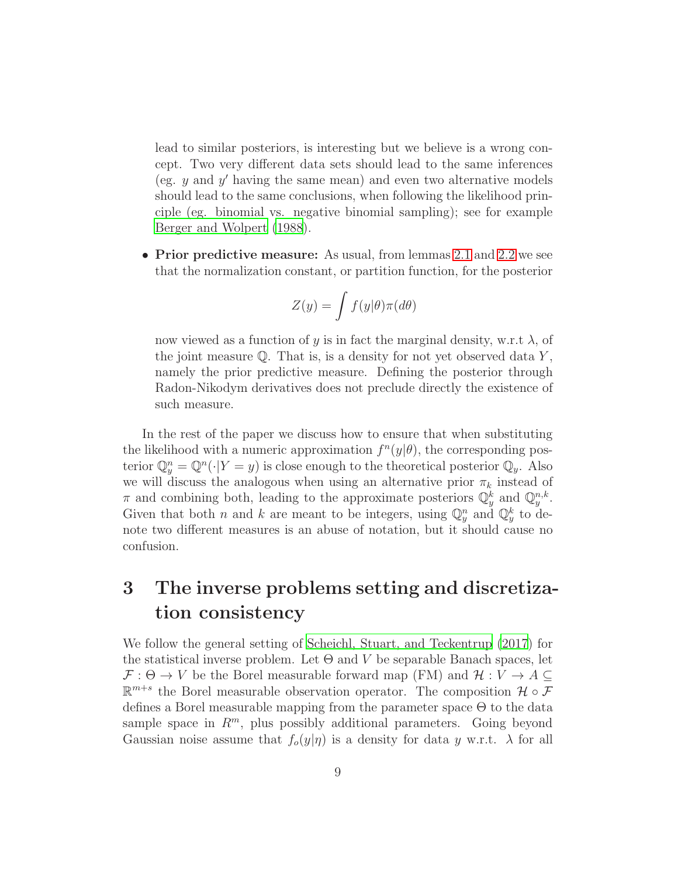lead to similar posteriors, is interesting but we believe is a wrong concept. Two very different data sets should lead to the same inferences (eg. y and y ′ having the same mean) and even two alternative models should lead to the same conclusions, when following the likelihood principle (eg. binomial vs. negative binomial sampling); see for example [Berger and Wolpert \(1988\)](#page-24-5).

• Prior predictive measure: As usual, from lemmas [2.1](#page-6-0) and [2.2](#page-6-1) we see that the normalization constant, or partition function, for the posterior

$$
Z(y) = \int f(y|\theta)\pi(d\theta)
$$

now viewed as a function of y is in fact the marginal density, w.r.t  $\lambda$ , of the joint measure  $\mathbb Q$ . That is, is a density for not yet observed data Y, namely the prior predictive measure. Defining the posterior through Radon-Nikodym derivatives does not preclude directly the existence of such measure.

In the rest of the paper we discuss how to ensure that when substituting the likelihood with a numeric approximation  $f^{n}(y|\theta)$ , the corresponding posterior  $\mathbb{Q}_y^n = \mathbb{Q}^n(\cdot|Y = y)$  is close enough to the theoretical posterior  $\mathbb{Q}_y$ . Also we will discuss the analogous when using an alternative prior  $\pi_k$  instead of  $\pi$  and combining both, leading to the approximate posteriors  $\mathbb{Q}_y^k$  and  $\mathbb{Q}_y^{n,k}$ . Given that both *n* and *k* are meant to be integers, using  $\mathbb{Q}_y^n$  and  $\mathbb{Q}_y^k$  to denote two different measures is an abuse of notation, but it should cause no confusion.

## <span id="page-8-0"></span>3 The inverse problems setting and discretization consistency

We follow the general setting of [Scheichl, Stuart, and Teckentrup](#page-26-3) [\(2017\)](#page-26-3) for the statistical inverse problem. Let  $\Theta$  and V be separable Banach spaces, let  $\mathcal{F}: \Theta \to V$  be the Borel measurable forward map (FM) and  $\mathcal{H}: V \to A \subseteq$  $\mathbb{R}^{m+s}$  the Borel measurable observation operator. The composition  $\mathcal{H} \circ \mathcal{F}$ defines a Borel measurable mapping from the parameter space Θ to the data sample space in  $R^m$ , plus possibly additional parameters. Going beyond Gaussian noise assume that  $f_o(y|\eta)$  is a density for data y w.r.t.  $\lambda$  for all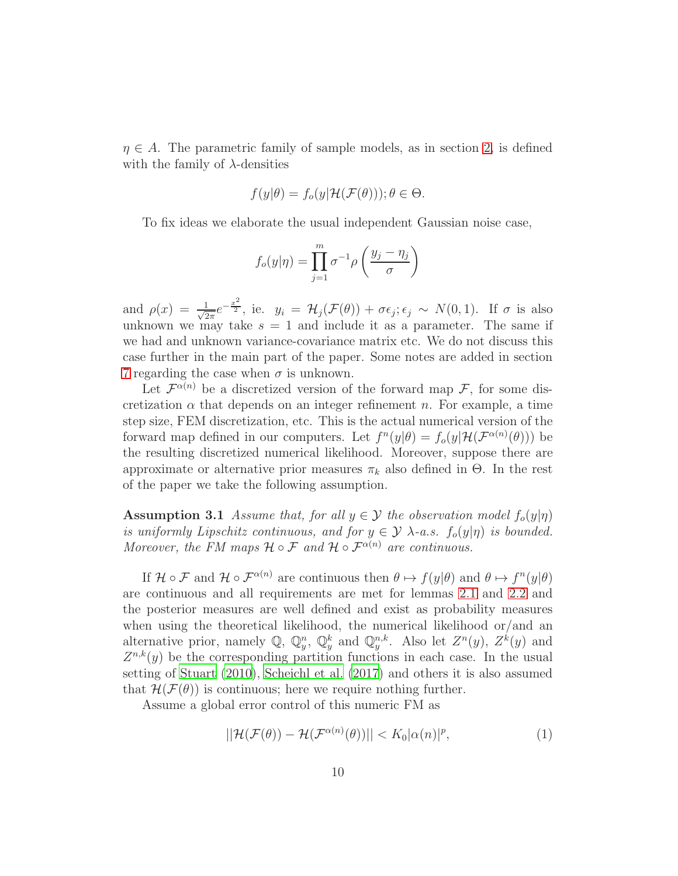$\eta \in A$ . The parametric family of sample models, as in section [2,](#page-5-0) is defined with the family of  $\lambda$ -densities

$$
f(y|\theta) = f_o(y|\mathcal{H}(\mathcal{F}(\theta))) ; \theta \in \Theta.
$$

To fix ideas we elaborate the usual independent Gaussian noise case,

$$
f_o(y|\eta) = \prod_{j=1}^m \sigma^{-1} \rho\left(\frac{y_j - \eta_j}{\sigma}\right)
$$

and  $\rho(x) = \frac{1}{\sqrt{2}}$  $\frac{1}{2\pi}e^{-\frac{x^2}{2}}$ , ie.  $y_i = \mathcal{H}_j(\mathcal{F}(\theta)) + \sigma \epsilon_j; \epsilon_j \sim N(0, 1)$ . If  $\sigma$  is also unknown we may take  $s = 1$  and include it as a parameter. The same if we had and unknown variance-covariance matrix etc. We do not discuss this case further in the main part of the paper. Some notes are added in section [7](#page-22-0) regarding the case when  $\sigma$  is unknown.

Let  $\mathcal{F}^{\alpha(n)}$  be a discretized version of the forward map  $\mathcal{F}$ , for some discretization  $\alpha$  that depends on an integer refinement n. For example, a time step size, FEM discretization, etc. This is the actual numerical version of the forward map defined in our computers. Let  $f^{n}(y|\theta) = f_o(y|\mathcal{H}(\mathcal{F}^{\alpha(n)}(\theta)))$  be the resulting discretized numerical likelihood. Moreover, suppose there are approximate or alternative prior measures  $\pi_k$  also defined in  $\Theta$ . In the rest of the paper we take the following assumption.

<span id="page-9-0"></span>**Assumption 3.1** Assume that, for all  $y \in \mathcal{Y}$  the observation model  $f_o(y|\eta)$ is uniformly Lipschitz continuous, and for  $y \in \mathcal{Y}$   $\lambda$ -a.s.  $f_o(y|\eta)$  is bounded. Moreover, the FM maps  $\mathcal{H} \circ \mathcal{F}$  and  $\mathcal{H} \circ \mathcal{F}^{\alpha(n)}$  are continuous.

If  $\mathcal{H} \circ \mathcal{F}$  and  $\mathcal{H} \circ \mathcal{F}^{\alpha(n)}$  are continuous then  $\theta \mapsto f(y|\theta)$  and  $\theta \mapsto f^n(y|\theta)$ are continuous and all requirements are met for lemmas [2.1](#page-6-0) and [2.2](#page-6-1) and the posterior measures are well defined and exist as probability measures when using the theoretical likelihood, the numerical likelihood or/and an alternative prior, namely  $\mathbb{Q}$ ,  $\mathbb{Q}_y^n$ ,  $\mathbb{Q}_y^k$  and  $\mathbb{Q}_y^{n,k}$ . Also let  $Z^n(y)$ ,  $Z^k(y)$  and  $Z^{n,k}(y)$  be the corresponding partition functions in each case. In the usual setting of [Stuart \(2010\)](#page-26-0), [Scheichl et al. \(2017](#page-26-3)) and others it is also assumed that  $\mathcal{H}(\mathcal{F}(\theta))$  is continuous; here we require nothing further.

Assume a global error control of this numeric FM as

<span id="page-9-1"></span>
$$
||\mathcal{H}(\mathcal{F}(\theta)) - \mathcal{H}(\mathcal{F}^{\alpha(n)}(\theta))|| < K_0|\alpha(n)|^p,\tag{1}
$$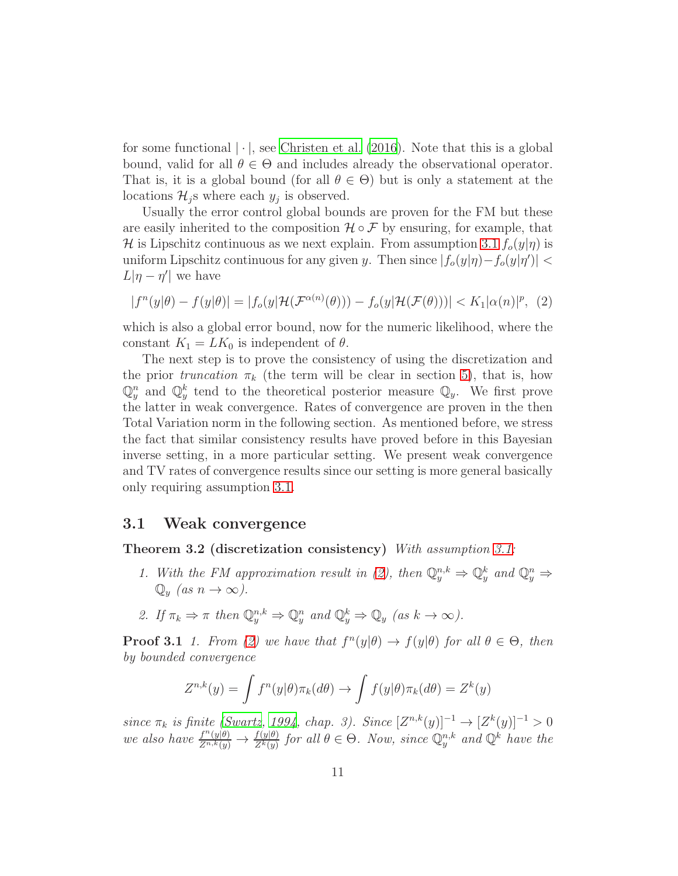for some functional  $|\cdot|$ , see [Christen et al. \(2016\)](#page-24-0). Note that this is a global bound, valid for all  $\theta \in \Theta$  and includes already the observational operator. That is, it is a global bound (for all  $\theta \in \Theta$ ) but is only a statement at the locations  $\mathcal{H}_j$ s where each  $y_j$  is observed.

Usually the error control global bounds are proven for the FM but these are easily inherited to the composition  $\mathcal{H} \circ \mathcal{F}$  by ensuring, for example, that H is Lipschitz continuous as we next explain. From assumption [3.1](#page-9-0)  $f_o(y|\eta)$  is uniform Lipschitz continuous for any given y. Then since  $|f_o(y|\eta) - f_o(y|\eta')|$  <  $L|\eta - \eta'|$  we have

<span id="page-10-0"></span>
$$
|f^{n}(y|\theta) - f(y|\theta)| = |f_{o}(y|\mathcal{H}(\mathcal{F}^{\alpha(n)}(\theta))) - f_{o}(y|\mathcal{H}(\mathcal{F}(\theta)))| < K_1|\alpha(n)|^p, \tag{2}
$$

which is also a global error bound, now for the numeric likelihood, where the constant  $K_1 = L K_0$  is independent of  $\theta$ .

The next step is to prove the consistency of using the discretization and the prior truncation  $\pi_k$  (the term will be clear in section [5\)](#page-18-0), that is, how  $\mathbb{Q}_y^n$  and  $\mathbb{Q}_y^k$  tend to the theoretical posterior measure  $\mathbb{Q}_y$ . We first prove the latter in weak convergence. Rates of convergence are proven in the then Total Variation norm in the following section. As mentioned before, we stress the fact that similar consistency results have proved before in this Bayesian inverse setting, in a more particular setting. We present weak convergence and TV rates of convergence results since our setting is more general basically only requiring assumption [3.1.](#page-9-0)

#### <span id="page-10-1"></span>3.1 Weak convergence

Theorem 3.2 (discretization consistency) With assumption [3.1:](#page-9-0)

- 1. With the FM approximation result in [\(2\)](#page-10-0), then  $\mathbb{Q}_y^{n,k} \Rightarrow \mathbb{Q}_y^k$  and  $\mathbb{Q}_y^n \Rightarrow$  $\mathbb{Q}_y$  (as  $n \to \infty$ ).
- 2. If  $\pi_k \Rightarrow \pi$  then  $\mathbb{Q}_y^{n,k} \Rightarrow \mathbb{Q}_y^n$  and  $\mathbb{Q}_y^k \Rightarrow \mathbb{Q}_y$  (as  $k \to \infty$ ).

**Proof 3.1** 1. From [\(2\)](#page-10-0) we have that  $f^{n}(y|\theta) \to f(y|\theta)$  for all  $\theta \in \Theta$ , then by bounded convergence

$$
Z^{n,k}(y) = \int f^n(y|\theta)\pi_k(d\theta) \to \int f(y|\theta)\pi_k(d\theta) = Z^k(y)
$$

since  $\pi_k$  is finite [\(Swartz](#page-26-4), [1994,](#page-26-4) chap. 3). Since  $[Z^{n,k}(y)]^{-1} \to [Z^k(y)]^{-1} > 0$ we also have  $\frac{f^n(y|\theta)}{Z^{n,k}(y)} \to \frac{f(y|\theta)}{Z^k(y)}$  for all  $\theta \in \Theta$ . Now, since  $\mathbb{Q}_y^{n,k}$  and  $\mathbb{Q}^k$  have the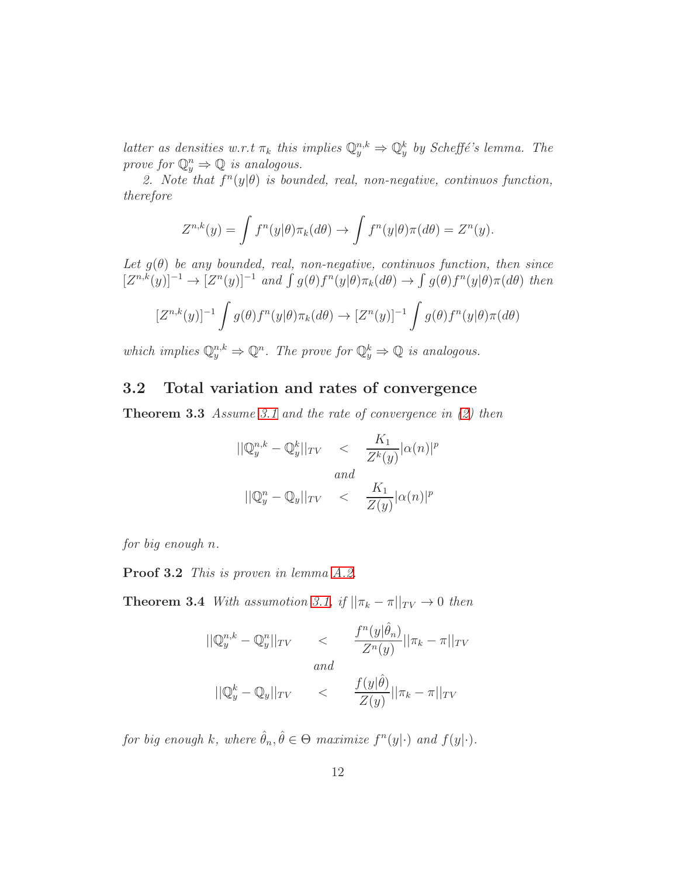latter as densities w.r.t  $\pi_k$  this implies  $\mathbb{Q}_y^{n,k} \Rightarrow \mathbb{Q}_y^k$  by Scheffé's lemma. The prove for  $\mathbb{Q}_y^n \Rightarrow \mathbb{Q}$  is analogous.

2. Note that  $f^{n}(y|\theta)$  is bounded, real, non-negative, continuos function, therefore

$$
Z^{n,k}(y) = \int f^n(y|\theta) \pi_k(d\theta) \to \int f^n(y|\theta) \pi(d\theta) = Z^n(y).
$$

Let  $g(\theta)$  be any bounded, real, non-negative, continuos function, then since  $[Z^{n,k}(y)]^{-1} \to [Z^n(y)]^{-1}$  and  $\int g(\theta)f^n(y|\theta)\pi_k(d\theta) \to \int g(\theta)f^n(y|\theta)\pi(d\theta)$  then

$$
[Z^{n,k}(y)]^{-1} \int g(\theta) f^{n}(y|\theta) \pi_k(d\theta) \to [Z^{n}(y)]^{-1} \int g(\theta) f^{n}(y|\theta) \pi(d\theta)
$$

which implies  $\mathbb{Q}_y^{n,k} \Rightarrow \mathbb{Q}^n$ . The prove for  $\mathbb{Q}_y^k \Rightarrow \mathbb{Q}$  is analogous.

### <span id="page-11-1"></span><span id="page-11-0"></span>3.2 Total variation and rates of convergence

**Theorem 3.3** Assume [3.1](#page-9-0) and the rate of convergence in  $(2)$  then

$$
||\mathbb{Q}_y^{n,k} - \mathbb{Q}_y^k||_{TV} < \frac{K_1}{Z^k(y)}|\alpha(n)|^p
$$
  
and  

$$
||\mathbb{Q}_y^n - \mathbb{Q}_y||_{TV} < \frac{K_1}{Z(y)}|\alpha(n)|^p
$$

for big enough n.

Proof 3.2 This is proven in lemma [A.2.](#page-27-0)

<span id="page-11-2"></span>**Theorem 3.4** With assumption [3.1,](#page-9-0) if  $||\pi_k - \pi||_{TV} \rightarrow 0$  then

$$
||\mathbb{Q}_y^{n,k} - \mathbb{Q}_y^n||_{TV} \n
$$
\frac{f^n(y|\hat{\theta}_n)}{Z^n(y)}||\pi_k - \pi||_{TV}
$$
\nand\n
$$
||\mathbb{Q}_y^k - \mathbb{Q}_y||_{TV} \n
$$
\frac{f(y|\hat{\theta})}{Z(y)}||\pi_k - \pi||_{TV}
$$
$$
$$

for big enough k, where  $\hat{\theta}_n, \hat{\theta} \in \Theta$  maximize  $f^n(y|\cdot)$  and  $f(y|\cdot)$ .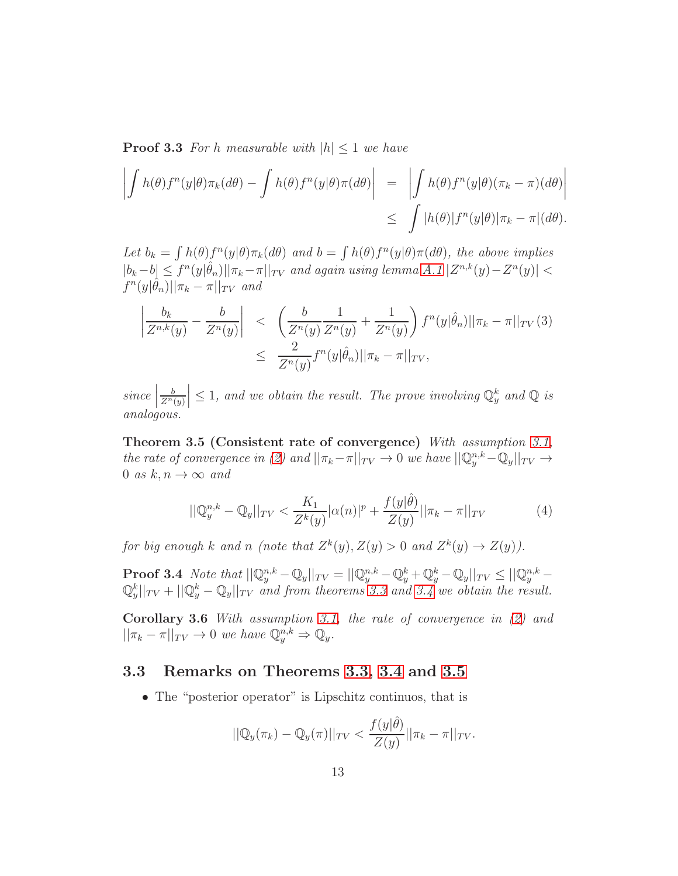**Proof 3.3** For h measurable with  $|h| \leq 1$  we have

$$
\left| \int h(\theta) f^{n}(y|\theta) \pi_{k}(d\theta) - \int h(\theta) f^{n}(y|\theta) \pi(d\theta) \right| = \left| \int h(\theta) f^{n}(y|\theta) (\pi_{k} - \pi)(d\theta) \right|
$$
  

$$
\leq \int |h(\theta)| f^{n}(y|\theta) |\pi_{k} - \pi|(d\theta).
$$

Let  $b_k = \int h(\theta) f^n(y|\theta) \pi_k(d\theta)$  and  $b = \int h(\theta) f^n(y|\theta) \pi(d\theta)$ , the above implies  $|b_k-b| \leq f^{n}(y|\hat{\theta}_n)||\pi_k-\pi||_{TV}$  and again using lemma  $A.1 | Z^{n,k}(y) - Z^n(y)| <$  $\int f^{n}(y|\hat{\theta}_{n})||\pi_{k} - \pi||_{TV}$  and

$$
\left| \frac{b_k}{Z^{n,k}(y)} - \frac{b}{Z^n(y)} \right| \leq \left( \frac{b}{Z^n(y)} \frac{1}{Z^n(y)} + \frac{1}{Z^n(y)} \right) f^n(y|\hat{\theta}_n) ||\pi_k - \pi||_{TV}(3)
$$
  

$$
\leq \frac{2}{Z^n(y)} f^n(y|\hat{\theta}_n) ||\pi_k - \pi||_{TV},
$$

 $\left| \begin{array}{c} \text{since} \\ \text{or} \end{array} \right|$ b  $\overline{Z^n(y)}$  $\vert \leq 1$ , and we obtain the result. The prove involving  $\mathbb{Q}_{y}^{k}$  and  $\mathbb{Q}$  is analogous.

<span id="page-12-0"></span>Theorem 3.5 (Consistent rate of convergence) With assumption [3.1,](#page-9-0) the rate of convergence in [\(2\)](#page-10-0) and  $||\pi_k - \pi||_{TV} \to 0$  we have  $||\mathbb{Q}_y^{n,k} - \mathbb{Q}_y||_{TV} \to$ 0 as  $k, n \to \infty$  and

<span id="page-12-1"></span>
$$
||\mathbb{Q}_{y}^{n,k} - \mathbb{Q}_{y}||_{TV} < \frac{K_{1}}{Z^{k}(y)}|\alpha(n)|^{p} + \frac{f(y|\hat{\theta})}{Z(y)}||\pi_{k} - \pi||_{TV} \tag{4}
$$

for big enough k and n (note that  $Z^k(y)$ ,  $Z(y) > 0$  and  $Z^k(y) \to Z(y)$ ).

**Proof 3.4** Note that  $||\mathbb{Q}_y^{n,k} - \mathbb{Q}_y||_{TV} = ||\mathbb{Q}_y^{n,k} - \mathbb{Q}_y^k + \mathbb{Q}_y^k - \mathbb{Q}_y||_{TV} \le ||\mathbb{Q}_y^{n,k} \mathbb{Q}_y^k||_{TV} + ||\mathbb{Q}_y^k - \mathbb{Q}_y||_{TV}$  and from theorems [3.3](#page-11-1) and [3.4](#page-11-2) we obtain the result.

Corollary 3.6 With assumption [3.1,](#page-9-0) the rate of convergence in [\(2\)](#page-10-0) and  $||\pi_k - \pi||_{TV} \to 0$  we have  $\mathbb{Q}_y^{n,k} \Rightarrow \mathbb{Q}_y$ .

#### 3.3 Remarks on Theorems [3.3,](#page-11-1) [3.4](#page-11-2) and [3.5](#page-12-0)

• The "posterior operator" is Lipschitz continuos, that is

$$
||\mathbb{Q}_y(\pi_k) - \mathbb{Q}_y(\pi)||_{TV} < \frac{f(y|\hat{\theta})}{Z(y)} ||\pi_k - \pi||_{TV}.
$$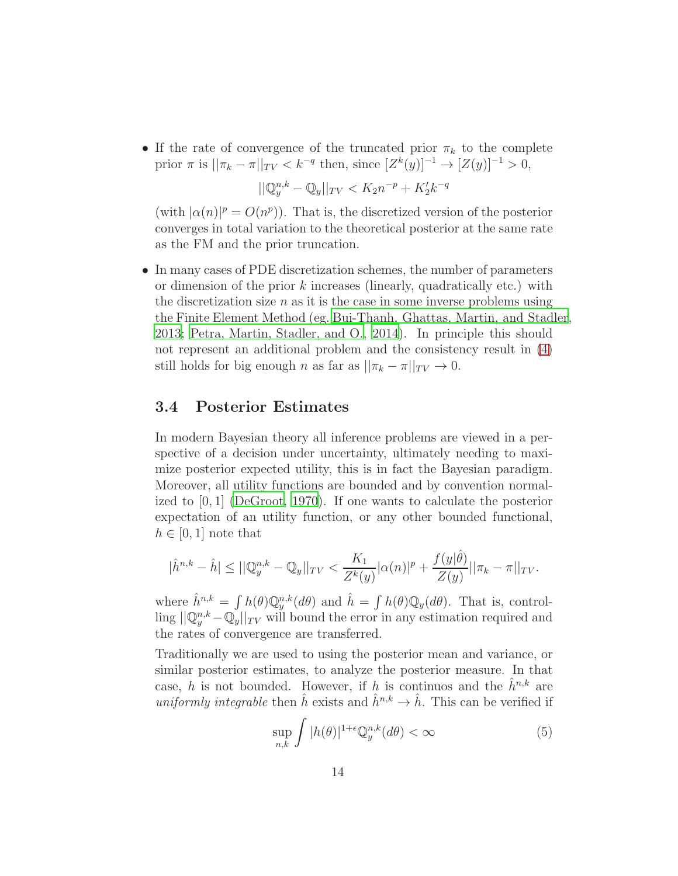$\bullet$  If the rate of convergence of the truncated prior  $\pi_k$  to the complete prior  $\pi$  is  $||\pi_k - \pi||_{TV} < k^{-q}$  then, since  $[Z^k(y)]^{-1} \to [Z(y)]^{-1} > 0$ ,

$$
||\mathbb{Q}_y^{n,k} - \mathbb{Q}_y||_{TV} < K_2 n^{-p} + K_2' k^{-q}
$$

(with  $|\alpha(n)|^p = O(n^p)$ ). That is, the discretized version of the posterior converges in total variation to the theoretical posterior at the same rate as the FM and the prior truncation.

• In many cases of PDE discretization schemes, the number of parameters or dimension of the prior  $k$  increases (linearly, quadratically etc.) with the discretization size  $n$  as it is the case in some inverse problems using the Finite Element Method (eg. [Bui-Thanh, Ghattas, Martin, and Stadler](#page-24-6), [2013;](#page-24-6) [Petra, Martin, Stadler, and O.](#page-26-6), [2014\)](#page-26-6). In principle this should not represent an additional problem and the consistency result in [\(4\)](#page-12-1) still holds for big enough n as far as  $||\pi_k - \pi||_{TV} \to 0$ .

#### 3.4 Posterior Estimates

In modern Bayesian theory all inference problems are viewed in a perspective of a decision under uncertainty, ultimately needing to maximize posterior expected utility, this is in fact the Bayesian paradigm. Moreover, all utility functions are bounded and by convention normalized to [0, 1] [\(DeGroot](#page-25-2), [1970](#page-25-2)). If one wants to calculate the posterior expectation of an utility function, or any other bounded functional,  $h \in [0, 1]$  note that

$$
|\hat{h}^{n,k}-\hat{h}|\leq ||\mathbb{Q}_y^{n,k}-\mathbb{Q}_y||_{TV}<\frac{K_1}{Z^k(y)}|\alpha(n)|^p+\frac{f(y|\hat{\theta})}{Z(y)}||\pi_k-\pi||_{TV}.
$$

where  $\hat{h}^{n,k} = \int h(\theta) \mathbb{Q}_y^{n,k}(d\theta)$  and  $\hat{h} = \int h(\theta) \mathbb{Q}_y(d\theta)$ . That is, controlling  $||\mathbb{Q}_y^{n,k} - \mathbb{Q}_y||_{TV}$  will bound the error in any estimation required and the rates of convergence are transferred.

Traditionally we are used to using the posterior mean and variance, or similar posterior estimates, to analyze the posterior measure. In that case, h is not bounded. However, if h is continuos and the  $\hat{h}^{n,k}$  are uniformly integrable then  $\hat{h}$  exists and  $\hat{h}^{n,k} \to \hat{h}$ . This can be verified if

<span id="page-13-0"></span>
$$
\sup_{n,k} \int |h(\theta)|^{1+\epsilon} \mathbb{Q}_y^{n,k}(d\theta) < \infty \tag{5}
$$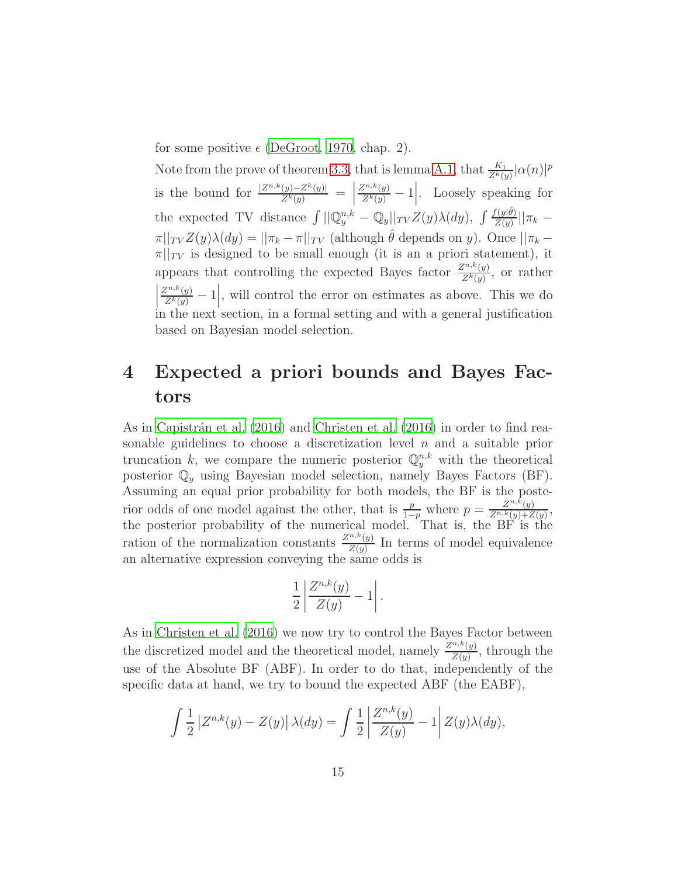for some positive  $\epsilon$  [\(DeGroot](#page-25-2), [1970,](#page-25-2) chap. 2).

Note from the prove of theorem [3.3,](#page-11-1) that is lemma [A.1,](#page-26-5) that  $\frac{K_1}{Z^k(y)} |\alpha(n)|^p$ is the bound for  $\frac{|Z^{n,k}(y)-Z^k(y)|}{Z^k(y)} =$  $\frac{Z^{n,k}(y)}{Z^k(y)} - 1$ . Loosely speaking for the expected TV distance  $\int ||\mathbb{Q}_y^{n,k} - \mathbb{Q}_y||_{TV} Z(y)\lambda(dy)$ ,  $\int \frac{f(y|\hat{\theta})}{Z(y)}$  $\frac{T(y|\theta)}{Z(y)}||\pi_k \pi||_{TV} Z(y)\lambda(dy) = ||\pi_k - \pi||_{TV}$  (although  $\hat{\theta}$  depends on y). Once  $||\pi_k - \pi||_{TV}$  $\pi||_{TV}$  is designed to be small enough (it is an a priori statement), it appears that controlling the expected Bayes factor  $\frac{Z^{n,k}(y)}{Z^k(y)}$ , or rather  $\left|\frac{Z^{n,k}(y)}{Z^k(y)}-1\right|$ , will control the error on estimates as above. This we do  $\begin{bmatrix} 2^{k}(y) & | \\ \end{bmatrix}$  in the next section, in a formal setting and with a general justification based on Bayesian model selection.

## <span id="page-14-0"></span>4 Expected a priori bounds and Bayes Factors

As in Capistrán et al.  $(2016)$  and Christen et al.  $(2016)$  in order to find reasonable guidelines to choose a discretization level  $n$  and a suitable prior truncation k, we compare the numeric posterior  $\mathbb{Q}_y^{n,k}$  with the theoretical posterior  $\mathbb{Q}_y$  using Bayesian model selection, namely Bayes Factors (BF). Assuming an equal prior probability for both models, the BF is the posterior odds of one model against the other, that is  $\frac{p}{1-p}$  where  $p = \frac{Z^{n,k}(y)}{Z^{n,k}(y)+Z}$  $\frac{Z^{n,k}(y)}{Z^{n,k}(y)+Z(y)},$ the posterior probability of the numerical model. That is, the BF is the ration of the normalization constants  $\frac{Z^{n,k}(y)}{Z(n)}$  $\frac{Z(y)}{Z(y)}$  In terms of model equivalence an alternative expression conveying the same odds is

$$
\frac{1}{2}\left|\frac{Z^{n,k}(y)}{Z(y)}-1\right|.
$$

As in [Christen et al. \(2016\)](#page-24-0) we now try to control the Bayes Factor between the discretized model and the theoretical model, namely  $\frac{Z^{n,k}(y)}{Z(y)}$ , through the use of the Absolute BF (ABF). In order to do that, independently of the specific data at hand, we try to bound the expected ABF (the EABF),

$$
\int \frac{1}{2} \left| Z^{n,k}(y) - Z(y) \right| \lambda(dy) = \int \frac{1}{2} \left| \frac{Z^{n,k}(y)}{Z(y)} - 1 \right| Z(y) \lambda(dy),
$$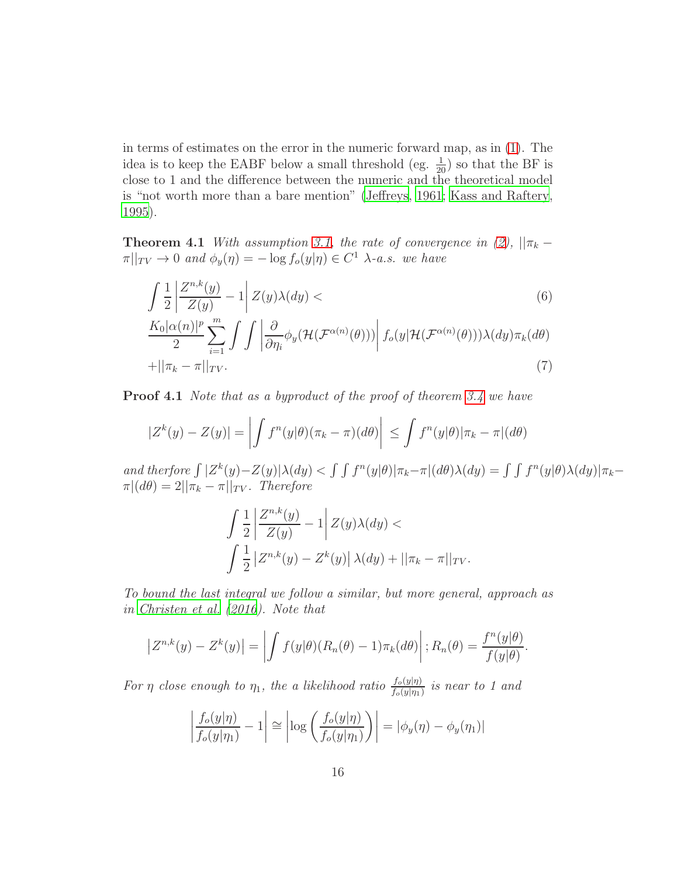in terms of estimates on the error in the numeric forward map, as in [\(1\)](#page-9-1). The idea is to keep the EABF below a small threshold (eg.  $\frac{1}{20}$ ) so that the BF is close to 1 and the difference between the numeric and the theoretical model is "not worth more than a bare mention" [\(Jeffreys](#page-25-6), [1961;](#page-25-6) [Kass and](#page-25-7) Raftery, [1995](#page-25-7)).

<span id="page-15-0"></span>**Theorem 4.1** With assumption [3.1,](#page-9-0) the rate of convergence in [\(2\)](#page-10-0),  $||\pi_k \pi||_{TV} \to 0$  and  $\phi_y(\eta) = -\log f_o(y|\eta) \in C^1$   $\lambda$ -a.s. we have

$$
\int \frac{1}{2} \left| \frac{Z^{n,k}(y)}{Z(y)} - 1 \right| Z(y) \lambda(dy) < \tag{6}
$$

$$
\frac{K_0|\alpha(n)|^p}{2}\sum_{i=1}^m \int \int \left| \frac{\partial}{\partial \eta_i} \phi_y(\mathcal{H}(\mathcal{F}^{\alpha(n)}(\theta))) \right| f_o(y|\mathcal{H}(\mathcal{F}^{\alpha(n)}(\theta))) \lambda(dy)\pi_k(d\theta)
$$
  
+  $||\pi_k - \pi||_{TV}.$  (7)

**Proof 4.1** Note that as a byproduct of the proof of theorem [3.4](#page-11-2) we have

$$
|Z^{k}(y) - Z(y)| = \left| \int f^{n}(y|\theta)(\pi_{k} - \pi)(d\theta) \right| \leq \int f^{n}(y|\theta)|\pi_{k} - \pi|(d\theta)
$$

and therfore  $\int |Z^k(y)-Z(y)|\lambda(dy) < \int \int f^n(y|\theta)|\pi_k-\pi|(d\theta)\lambda(dy) = \int \int f^n(y|\theta)\lambda(dy)|\pi_k-\pi(x)$  $\pi|(d\theta) = 2||\pi_k - \pi||_{TV}$ . Therefore

$$
\int \frac{1}{2} \left| \frac{Z^{n,k}(y)}{Z(y)} - 1 \right| Z(y) \lambda(dy) \n\int \frac{1}{2} \left| Z^{n,k}(y) - Z^k(y) \right| \lambda(dy) + ||\pi_k - \pi||_{TV}.
$$

To bound the last integral we follow a similar, but more general, approach as in [Christen et al. \(2016\)](#page-24-0). Note that

$$
\left| Z^{n,k}(y) - Z^k(y) \right| = \left| \int f(y|\theta) (R_n(\theta) - 1) \pi_k(d\theta) \right|; R_n(\theta) = \frac{f^n(y|\theta)}{f(y|\theta)}.
$$

For  $\eta$  close enough to  $\eta_1$ , the a likelihood ratio  $\frac{f_o(y|\eta)}{f_o(y|\eta_1)}$  is near to 1 and

$$
\left|\frac{f_o(y|\eta)}{f_o(y|\eta_1)} - 1\right| \cong \left|\log\left(\frac{f_o(y|\eta)}{f_o(y|\eta_1)}\right)\right| = \left|\phi_y(\eta) - \phi_y(\eta_1)\right|
$$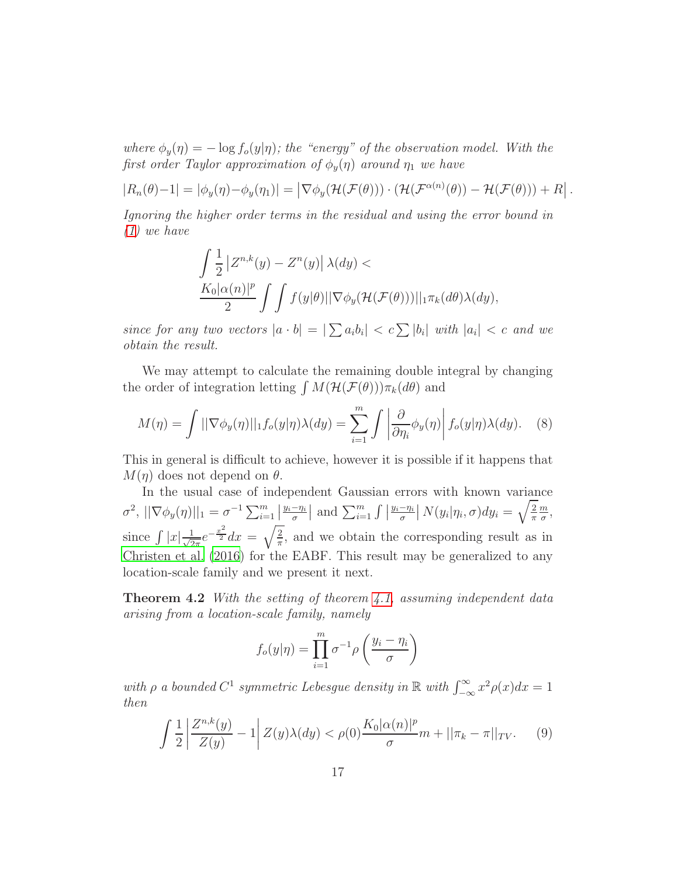where  $\phi_y(\eta) = -\log f_o(y|\eta)$ ; the "energy" of the observation model. With the first order Taylor approximation of  $\phi_u(\eta)$  around  $\eta_1$  we have

$$
|R_n(\theta)-1|=|\phi_y(\eta)-\phi_y(\eta_1)|=\left|\nabla\phi_y(\mathcal{H}(\mathcal{F}(\theta)))\cdot(\mathcal{H}(\mathcal{F}^{\alpha(n)}(\theta))-\mathcal{H}(\mathcal{F}(\theta))) + R\right|.
$$

Ignoring the higher order terms in the residual and using the error bound in [\(1\)](#page-9-1) we have

<span id="page-16-0"></span>
$$
\int \frac{1}{2} |Z^{n,k}(y) - Z^n(y)| \lambda(dy) \n\frac{K_0|\alpha(n)|^p}{2} \int \int f(y|\theta) ||\nabla \phi_y(\mathcal{H}(\mathcal{F}(\theta)))||_1 \pi_k(d\theta) \lambda(dy),
$$

since for any two vectors  $|a \cdot b| = |\sum a_i b_i| < c \sum |b_i|$  with  $|a_i| < c$  and we obtain the result.

We may attempt to calculate the remaining double integral by changing the order of integration letting  $\int M(\mathcal{H}(\mathcal{F}(\theta)))\pi_k(d\theta)$  and

$$
M(\eta) = \int ||\nabla \phi_y(\eta)||_1 f_o(y|\eta) \lambda(dy) = \sum_{i=1}^m \int \left| \frac{\partial}{\partial \eta_i} \phi_y(\eta) \right| f_o(y|\eta) \lambda(dy). \tag{8}
$$

This in general is difficult to achieve, however it is possible if it happens that  $M(\eta)$  does not depend on  $\theta$ .

In the usual case of independent Gaussian errors with known variance  $\sigma^2$ ,  $||\nabla \phi_y(\eta)||_1 = \sigma^{-1} \sum_{i=1}^m |$  $\frac{y_i - \eta_i}{\sigma}$  and  $\sum_{i=1}^m \int$  $\frac{y_i-\eta_i}{\sigma}$  |  $N(y_i|\eta_i,\sigma)dy_i=\sqrt{\frac{2}{\pi}}$ π m  $\frac{m}{\sigma}$ , since  $\int |x| \frac{1}{\sqrt{2}}$  $\frac{1}{2\pi}e^{-\frac{x^2}{2}}dx = \sqrt{\frac{2}{\pi}}$  $\frac{2}{\pi}$ , and we obtain the corresponding result as in [Christen et al. \(2016\)](#page-24-0) for the EABF. This result may be generalized to any location-scale family and we present it next.

Theorem 4.2 With the setting of theorem [4.1,](#page-15-0) assuming independent data arising from a location-scale family, namely

$$
f_o(y|\eta) = \prod_{i=1}^m \sigma^{-1} \rho\left(\frac{y_i - \eta_i}{\sigma}\right)
$$

with  $\rho$  a bounded  $C^1$  symmetric Lebesgue density in  $\mathbb{R}$  with  $\int_{-\infty}^{\infty} x^2 \rho(x) dx = 1$ then

<span id="page-16-1"></span>
$$
\int \frac{1}{2} \left| \frac{Z^{n,k}(y)}{Z(y)} - 1 \right| Z(y) \lambda(dy) < \rho(0) \frac{K_0 |\alpha(n)|^p}{\sigma} m + ||\pi_k - \pi||_{TV}. \tag{9}
$$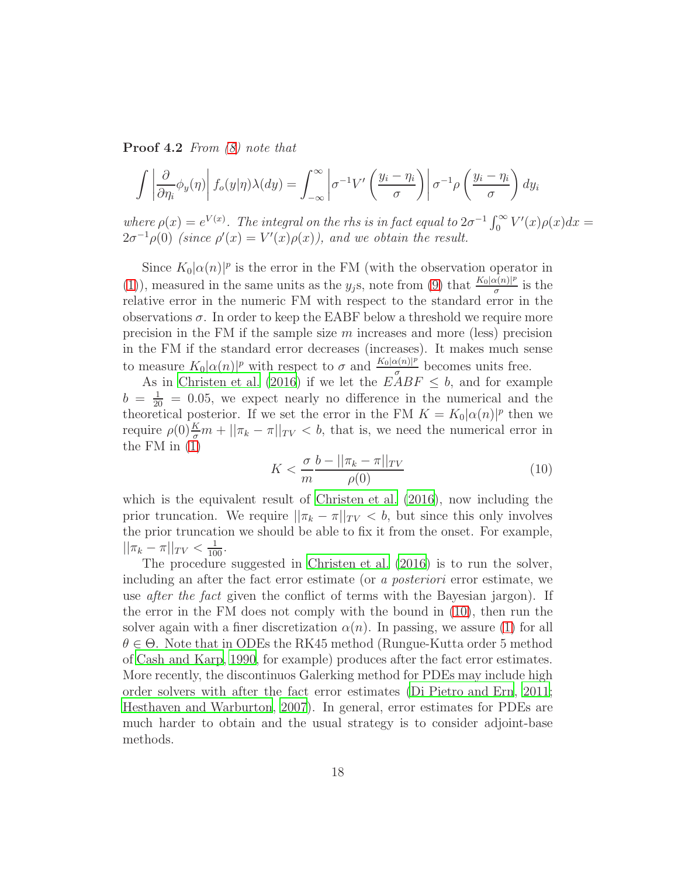Proof 4.2 From [\(8\)](#page-16-0) note that

$$
\int \left| \frac{\partial}{\partial \eta_i} \phi_y(\eta) \right| f_o(y|\eta) \lambda(dy) = \int_{-\infty}^{\infty} \left| \sigma^{-1} V' \left( \frac{y_i - \eta_i}{\sigma} \right) \right| \sigma^{-1} \rho \left( \frac{y_i - \eta_i}{\sigma} \right) dy_i
$$

where  $\rho(x) = e^{V(x)}$ . The integral on the rhs is in fact equal to  $2\sigma^{-1} \int_0^\infty V'(x) \rho(x) dx =$  $2\sigma^{-1}\rho(0)$  (since  $\rho'(x) = V'(x)\rho(x)$ ), and we obtain the result.

Since  $K_0|\alpha(n)|^p$  is the error in the FM (with the observation operator in [\(1\)](#page-9-1)), measured in the same units as the y<sub>j</sub>s, note from [\(9\)](#page-16-1) that  $\frac{K_0|\alpha(n)|^p}{\sigma}$  $rac{x(n)|^p}{\sigma}$  is the relative error in the numeric FM with respect to the standard error in the observations  $\sigma$ . In order to keep the EABF below a threshold we require more precision in the FM if the sample size  $m$  increases and more (less) precision in the FM if the standard error decreases (increases). It makes much sense to measure  $K_0|\alpha(n)|^p$  with respect to  $\sigma$  and  $\frac{K_0|\alpha(n)|^p}{\sigma}$  $\frac{\alpha(n)!^r}{\sigma}$  becomes units free.

As in [Christen et al. \(2016\)](#page-24-0) if we let the  $EABF \leq b$ , and for example  $b = \frac{1}{20} = 0.05$ , we expect nearly no difference in the numerical and the theoretical posterior. If we set the error in the FM  $K = K_0 |\alpha(n)|^p$  then we require  $\rho(0) \frac{K}{\sigma} m + ||\pi_k - \pi||_{TV} < b$ , that is, we need the numerical error in the FM in [\(1\)](#page-9-1)

<span id="page-17-0"></span>
$$
K < \frac{\sigma}{m} \frac{b - ||\pi_k - \pi||_{TV}}{\rho(0)} \tag{10}
$$

which is the equivalent result of [Christen et al. \(2016](#page-24-0)), now including the prior truncation. We require  $||\pi_k - \pi||_{TV} < b$ , but since this only involves the prior truncation we should be able to fix it from the onset. For example,  $||\pi_k - \pi||_{TV} < \frac{1}{100}.$ 

The procedure suggested in [Christen et al. \(2016\)](#page-24-0) is to run the solver, including an after the fact error estimate (or a posteriori error estimate, we use *after the fact* given the conflict of terms with the Bayesian jargon). If the error in the FM does not comply with the bound in [\(10\)](#page-17-0), then run the solver again with a finer discretization  $\alpha(n)$ . In passing, we assure [\(1\)](#page-9-1) for all  $\theta \in \Theta$ . Note that in ODEs the RK45 method (Rungue-Kutta order 5 method of [Cash and Karp](#page-24-7), [1990](#page-24-7), for example) produces after the fact error estimates. More recently, the discontinuos Galerking method for PDEs may include high order solvers with after the fact error estimates [\(Di Pietro and Ern](#page-25-8), [2011](#page-25-8); [Hesthaven and Warburton](#page-25-9), [2007](#page-25-9)). In general, error estimates for PDEs are much harder to obtain and the usual strategy is to consider adjoint-base methods.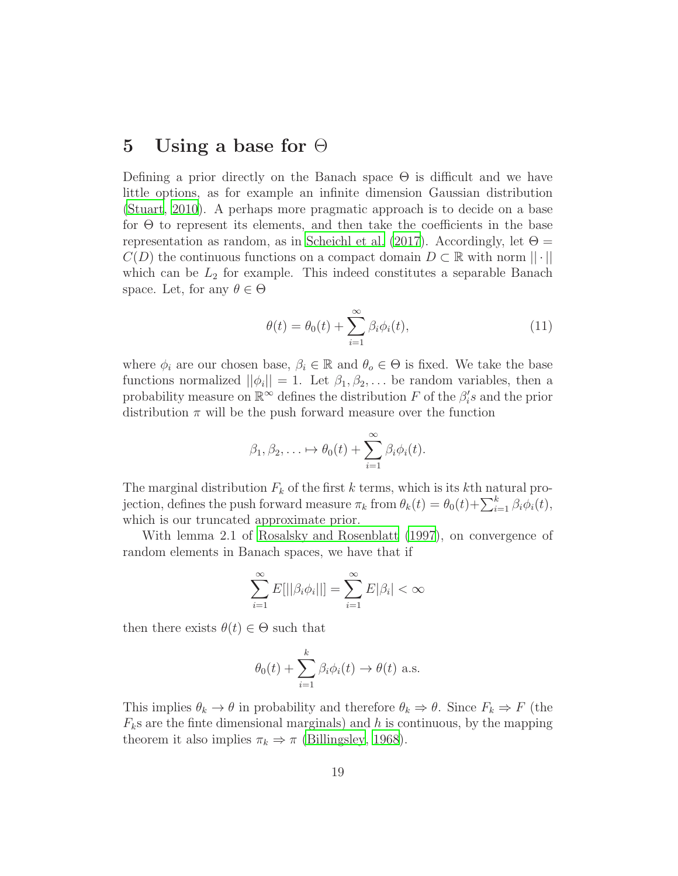## <span id="page-18-0"></span>5 Using a base for  $\Theta$

Defining a prior directly on the Banach space  $\Theta$  is difficult and we have little options, as for example an infinite dimension Gaussian distribution [\(Stuart, 2010\)](#page-26-0). A perhaps more pragmatic approach is to decide on a base for  $\Theta$  to represent its elements, and then take the coefficients in the base representation as random, as in [Scheichl et al. \(2017\)](#page-26-3). Accordingly, let  $\Theta =$  $C(D)$  the continuous functions on a compact domain  $D \subset \mathbb{R}$  with norm  $|| \cdot ||$ which can be  $L_2$  for example. This indeed constitutes a separable Banach space. Let, for any  $\theta \in \Theta$ 

<span id="page-18-1"></span>
$$
\theta(t) = \theta_0(t) + \sum_{i=1}^{\infty} \beta_i \phi_i(t), \qquad (11)
$$

where  $\phi_i$  are our chosen base,  $\beta_i \in \mathbb{R}$  and  $\theta_o \in \Theta$  is fixed. We take the base functions normalized  $||\phi_i|| = 1$ . Let  $\beta_1, \beta_2, \ldots$  be random variables, then a probability measure on  $\mathbb{R}^{\infty}$  defines the distribution F of the  $\beta_i$ 's and the prior distribution  $\pi$  will be the push forward measure over the function

$$
\beta_1, \beta_2, \ldots \mapsto \theta_0(t) + \sum_{i=1}^{\infty} \beta_i \phi_i(t).
$$

The marginal distribution  $F_k$  of the first k terms, which is its kth natural projection, defines the push forward measure  $\pi_k$  from  $\theta_k(t) = \theta_0(t) + \sum_{i=1}^k \beta_i \phi_i(t)$ , which is our truncated approximate prior.

With lemma 2.1 of [Rosalsky and Rosenblatt \(1997](#page-26-7)), on convergence of random elements in Banach spaces, we have that if

$$
\sum_{i=1}^{\infty} E[||\beta_i \phi_i||] = \sum_{i=1}^{\infty} E|\beta_i| < \infty
$$

then there exists  $\theta(t) \in \Theta$  such that

$$
\theta_0(t)
$$
 +  $\sum_{i=1}^k \beta_i \phi_i(t) \rightarrow \theta(t)$  a.s.

This implies  $\theta_k \to \theta$  in probability and therefore  $\theta_k \Rightarrow \theta$ . Since  $F_k \Rightarrow F$  (the  $F_k$ s are the finte dimensional marginals) and h is continuous, by the mapping theorem it also implies  $\pi_k \Rightarrow \pi$  [\(Billingsley](#page-24-4), [1968\)](#page-24-4).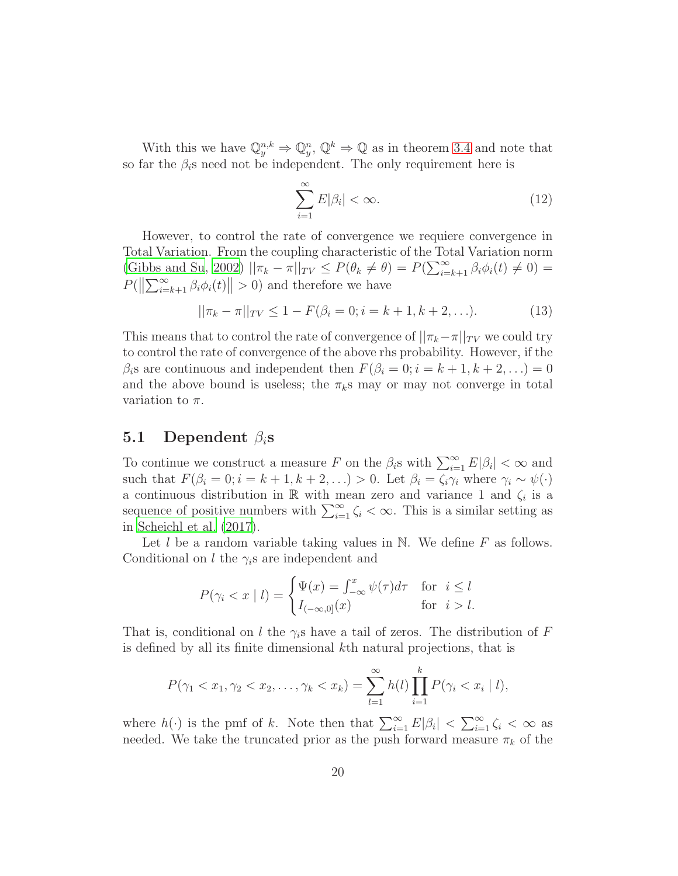With this we have  $\mathbb{Q}_y^{n,k} \Rightarrow \mathbb{Q}_y^n, \mathbb{Q}^k \Rightarrow \mathbb{Q}$  as in theorem [3.4](#page-11-2) and note that so far the  $\beta_i$ s need not be independent. The only requirement here is

$$
\sum_{i=1}^{\infty} E|\beta_i| < \infty. \tag{12}
$$

However, to control the rate of convergence we requiere convergence in Total Variation. From the coupling characteristic of the Total Variation norm [\(Gibbs and Su](#page-25-4), [2002](#page-25-4))  $||\pi_k - \pi||_{TV} \le P(\theta_k \neq \theta) = P(\sum_{i=k+1}^{\infty} \beta_i \phi_i(t) \neq 0) =$  $P(||\sum_{i=k+1}^{\infty} \beta_i \phi_i(t)|| > 0)$  and therefore we have

$$
||\pi_k - \pi||_{TV} \le 1 - F(\beta_i = 0; i = k + 1, k + 2, \ldots). \tag{13}
$$

This means that to control the rate of convergence of  $||\pi_k - \pi||_{TV}$  we could try to control the rate of convergence of the above rhs probability. However, if the  $\beta_i$ s are continuous and independent then  $F(\beta_i = 0; i = k+1, k+2, ...) = 0$ and the above bound is useless; the  $\pi_k$ s may or may not converge in total variation to  $\pi$ .

#### 5.1 Dependent  $\beta_i$ s

To continue we construct a measure F on the  $\beta_i$ s with  $\sum_{i=1}^{\infty} E|\beta_i| < \infty$  and such that  $F(\beta_i = 0; i = k + 1, k + 2, ...) > 0$ . Let  $\beta_i = \zeta_i \gamma_i$  where  $\gamma_i \sim \psi(\cdot)$ a continuous distribution in  $\mathbb R$  with mean zero and variance 1 and  $\zeta_i$  is a sequence of positive numbers with  $\sum_{i=1}^{\infty} \zeta_i < \infty$ . This is a similar setting as in [Scheichl et al. \(2017](#page-26-3)).

Let  $l$  be a random variable taking values in N. We define  $F$  as follows. Conditional on l the  $\gamma_i$ s are independent and

$$
P(\gamma_i < x \mid l) = \begin{cases} \Psi(x) = \int_{-\infty}^x \psi(\tau) d\tau & \text{for } i \le l \\ I_{(-\infty,0]}(x) & \text{for } i > l. \end{cases}
$$

That is, conditional on l the  $\gamma_i$ s have a tail of zeros. The distribution of F is defined by all its finite dimensional kth natural projections, that is

$$
P(\gamma_1 < x_1, \gamma_2 < x_2, \dots, \gamma_k < x_k) = \sum_{l=1}^{\infty} h(l) \prod_{i=1}^k P(\gamma_i < x_i \mid l),
$$

where  $h(\cdot)$  is the pmf of k. Note then that  $\sum_{i=1}^{\infty} E|\beta_i| < \sum_{i=1}^{\infty} \zeta_i < \infty$  as needed. We take the truncated prior as the push forward measure  $\pi_k$  of the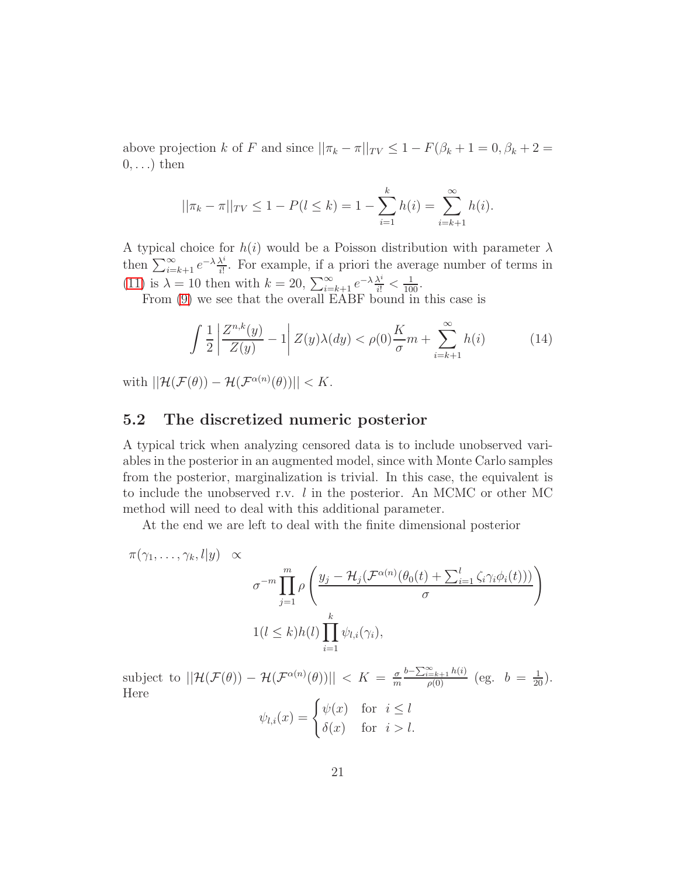above projection k of F and since  $||\pi_k - \pi||_{TV} \leq 1 - F(\beta_k + 1 = 0, \beta_k + 2 =$  $0, \ldots$ ) then

$$
||\pi_k - \pi||_{TV} \le 1 - P(l \le k) = 1 - \sum_{i=1}^k h(i) = \sum_{i=k+1}^\infty h(i).
$$

A typical choice for  $h(i)$  would be a Poisson distribution with parameter  $\lambda$ then  $\sum_{i=k+1}^{\infty} e^{-\lambda} \frac{\lambda^i}{i!}$  $\frac{\lambda^4}{i!}$ . For example, if a priori the average number of terms in [\(11\)](#page-18-1) is  $\lambda = 10$  then with  $k = 20$ ,  $\sum_{i=k+1}^{\infty} e^{-\lambda} \frac{\lambda^i}{i!} < \frac{1}{100}$ .

From [\(9\)](#page-16-1) we see that the overall EABF bound in this case is

$$
\int \frac{1}{2} \left| \frac{Z^{n,k}(y)}{Z(y)} - 1 \right| Z(y)\lambda(dy) < \rho(0) \frac{K}{\sigma} m + \sum_{i=k+1}^{\infty} h(i) \tag{14}
$$

with  $||\mathcal{H}(\mathcal{F}(\theta)) - \mathcal{H}(\mathcal{F}^{\alpha(n)}(\theta))|| < K.$ 

#### 5.2 The discretized numeric posterior

A typical trick when analyzing censored data is to include unobserved variables in the posterior in an augmented model, since with Monte Carlo samples from the posterior, marginalization is trivial. In this case, the equivalent is to include the unobserved r.v. l in the posterior. An MCMC or other MC method will need to deal with this additional parameter.

At the end we are left to deal with the finite dimensional posterior

$$
\pi(\gamma_1, \ldots, \gamma_k, l|y) \propto
$$
\n
$$
\sigma^{-m} \prod_{j=1}^m \rho \left( \frac{y_j - \mathcal{H}_j(\mathcal{F}^{\alpha(n)}(\theta_0(t) + \sum_{i=1}^l \zeta_i \gamma_i \phi_i(t)))}{\sigma} \right)
$$
\n
$$
1(l \le k) h(l) \prod_{i=1}^k \psi_{l,i}(\gamma_i),
$$

subject to  $||\mathcal{H}(\mathcal{F}(\theta)) - \mathcal{H}(\mathcal{F}^{\alpha(n)}(\theta))|| < K = \frac{\sigma}{m}$ m  $\frac{b-\sum_{i=k+1}^{\infty}h(i)}{\rho(0)}$  (eg.  $b = \frac{1}{20}$ ). Here

$$
\psi_{l,i}(x) = \begin{cases} \psi(x) & \text{for } i \le l \\ \delta(x) & \text{for } i > l. \end{cases}
$$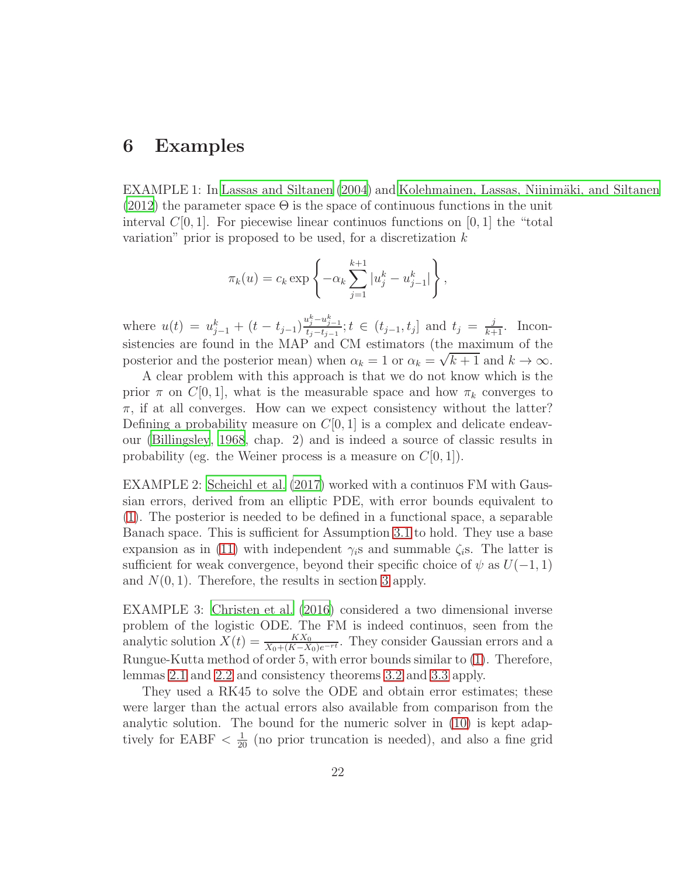## 6 Examples

EXAMPLE 1: In [Lassas and Siltanen \(2004\)](#page-25-10) and Kolehmainen, Lassas, Niinimäki, and Siltanen  $(2012)$  the parameter space  $\Theta$  is the space of continuous functions in the unit interval  $C[0, 1]$ . For piecewise linear continuos functions on [0, 1] the "total variation" prior is proposed to be used, for a discretization  $k$ 

$$
\pi_k(u) = c_k \exp \left\{ -\alpha_k \sum_{j=1}^{k+1} |u_j^k - u_{j-1}^k| \right\},\,
$$

where  $u(t) = u_{j-1}^k + (t - t_{j-1}) \frac{u_j^k - u_{j-1}^k}{t_j - t_{j-1}}$  $t_j - t_{j-1}$ ;  $t \in (t_{j-1}, t_j]$  and  $t_j = \frac{j}{k+1}$ . Inconsistencies are found in the MAP and CM estimators (the maximum of the posterior and the posterior mean) when  $\alpha_k = 1$  or  $\alpha_k = \sqrt{k+1}$  and  $k \to \infty$ .

A clear problem with this approach is that we do not know which is the prior  $\pi$  on  $C[0, 1]$ , what is the measurable space and how  $\pi_k$  converges to  $\pi$ , if at all converges. How can we expect consistency without the latter? Defining a probability measure on  $C[0, 1]$  is a complex and delicate endeavour [\(Billingsley, 1968](#page-24-4), chap. 2) and is indeed a source of classic results in probability (eg. the Weiner process is a measure on  $C[0, 1]$ ).

EXAMPLE 2: [Scheichl et al. \(2017](#page-26-3)) worked with a continuos FM with Gaussian errors, derived from an elliptic PDE, with error bounds equivalent to [\(1\)](#page-9-1). The posterior is needed to be defined in a functional space, a separable Banach space. This is sufficient for Assumption [3.1](#page-9-0) to hold. They use a base expansion as in [\(11\)](#page-18-1) with independent  $\gamma_i$ s and summable  $\zeta_i$ s. The latter is sufficient for weak convergence, beyond their specific choice of  $\psi$  as  $U(-1, 1)$ and  $N(0, 1)$ . Therefore, the results in section [3](#page-8-0) apply.

EXAMPLE 3: [Christen et al. \(2016\)](#page-24-0) considered a two dimensional inverse problem of the logistic ODE. The FM is indeed continuos, seen from the analytic solution  $X(t) = \frac{K X_0}{X_0 + (K - X_0)e^{-rt}}$ . They consider Gaussian errors and a Rungue-Kutta method of order 5, with error bounds similar to [\(1\)](#page-9-1). Therefore, lemmas [2.1](#page-6-0) and [2.2](#page-6-1) and consistency theorems [3.2](#page-10-1) and [3.3](#page-11-1) apply.

They used a RK45 to solve the ODE and obtain error estimates; these were larger than the actual errors also available from comparison from the analytic solution. The bound for the numeric solver in [\(10\)](#page-17-0) is kept adaptively for EABF  $\langle \frac{1}{20} \rangle$  (no prior truncation is needed), and also a fine grid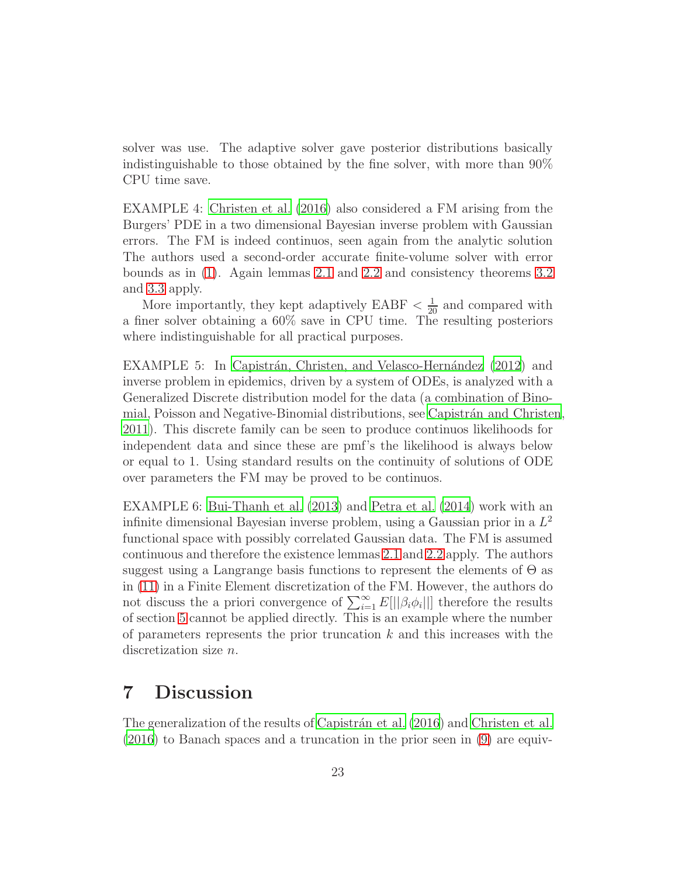solver was use. The adaptive solver gave posterior distributions basically indistinguishable to those obtained by the fine solver, with more than 90% CPU time save.

EXAMPLE 4: [Christen et al. \(2016\)](#page-24-0) also considered a FM arising from the Burgers' PDE in a two dimensional Bayesian inverse problem with Gaussian errors. The FM is indeed continuos, seen again from the analytic solution The authors used a second-order accurate finite-volume solver with error bounds as in [\(1\)](#page-9-1). Again lemmas [2.1](#page-6-0) and [2.2](#page-6-1) and consistency theorems [3.2](#page-10-1) and [3.3](#page-11-1) apply.

More importantly, they kept adaptively EABF  $\langle \frac{1}{20} \rangle$  and compared with a finer solver obtaining a 60% save in CPU time. The resulting posteriors where indistinguishable for all practical purposes.

EXAMPLE 5: In Capistrán, Christen, and Velasco-Hernández (2012) and inverse problem in epidemics, driven by a system of ODEs, is analyzed with a Generalized Discrete distribution model for the data (a combination of Binomial, Poisson and Negative-Binomial distributions, see Capistrán and Christen, [2011](#page-24-9)). This discrete family can be seen to produce continuos likelihoods for independent data and since these are pmf's the likelihood is always below or equal to 1. Using standard results on the continuity of solutions of ODE over parameters the FM may be proved to be continuos.

EXAMPLE 6: [Bui-Thanh et al. \(2013](#page-24-6)) and [Petra et al. \(2014\)](#page-26-6) work with an infinite dimensional Bayesian inverse problem, using a Gaussian prior in a  $L^2$ functional space with possibly correlated Gaussian data. The FM is assumed continuous and therefore the existence lemmas [2.1](#page-6-0) and [2.2](#page-6-1) apply. The authors suggest using a Langrange basis functions to represent the elements of  $\Theta$  as in [\(11\)](#page-18-1) in a Finite Element discretization of the FM. However, the authors do not discuss the a priori convergence of  $\sum_{i=1}^{\infty} E[||\beta_i \phi_i||]$  therefore the results of section [5](#page-18-0) cannot be applied directly. This is an example where the number of parameters represents the prior truncation  $k$  and this increases with the discretization size n.

## <span id="page-22-0"></span>7 Discussion

The generalization of the results of Capistrán et al. (2016) and [Christen et al.](#page-24-0) [\(2016\)](#page-24-0) to Banach spaces and a truncation in the prior seen in [\(9\)](#page-16-1) are equiv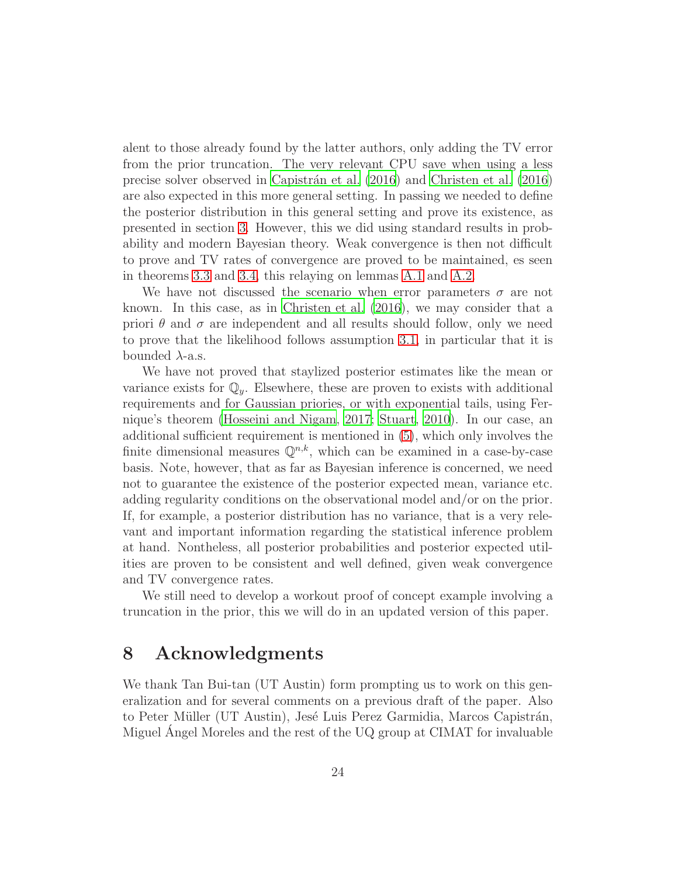alent to those already found by the latter authors, only adding the TV error from the prior truncation. The very relevant CPU save when using a less precise solver observed in [Capistr´an et al. \(2016\)](#page-24-1) and [Christen et](#page-24-0) al. [\(2016\)](#page-24-0) are also expected in this more general setting. In passing we needed to define the posterior distribution in this general setting and prove its existence, as presented in section [3.](#page-8-0) However, this we did using standard results in probability and modern Bayesian theory. Weak convergence is then not difficult to prove and TV rates of convergence are proved to be maintained, es seen in theorems [3.3](#page-11-1) and [3.4,](#page-11-2) this relaying on lemmas [A.1](#page-26-5) and [A.2.](#page-27-0)

We have not discussed the scenario when error parameters  $\sigma$  are not known. In this case, as in [Christen et al. \(2016](#page-24-0)), we may consider that a priori  $\theta$  and  $\sigma$  are independent and all results should follow, only we need to prove that the likelihood follows assumption [3.1,](#page-9-0) in particular that it is bounded  $\lambda$ -a.s.

We have not proved that staylized posterior estimates like the mean or variance exists for  $\mathbb{Q}_y$ . Elsewhere, these are proven to exists with additional requirements and for Gaussian priories, or with exponential tails, using Fernique's theorem [\(Hosseini and Nigam, 2017](#page-25-0); [Stuart](#page-26-0), [2010\)](#page-26-0). In our case, an additional sufficient requirement is mentioned in [\(5\)](#page-13-0), which only involves the finite dimensional measures  $\mathbb{Q}^{n,k}$ , which can be examined in a case-by-case basis. Note, however, that as far as Bayesian inference is concerned, we need not to guarantee the existence of the posterior expected mean, variance etc. adding regularity conditions on the observational model and/or on the prior. If, for example, a posterior distribution has no variance, that is a very relevant and important information regarding the statistical inference problem at hand. Nontheless, all posterior probabilities and posterior expected utilities are proven to be consistent and well defined, given weak convergence and TV convergence rates.

We still need to develop a workout proof of concept example involving a truncation in the prior, this we will do in an updated version of this paper.

## 8 Acknowledgments

We thank Tan Bui-tan (UT Austin) form prompting us to work on this generalization and for several comments on a previous draft of the paper. Also to Peter Müller (UT Austin), Jesé Luis Perez Garmidia, Marcos Capistrán, Miguel Angel Moreles and the rest of the UQ group at CIMAT for invaluable ´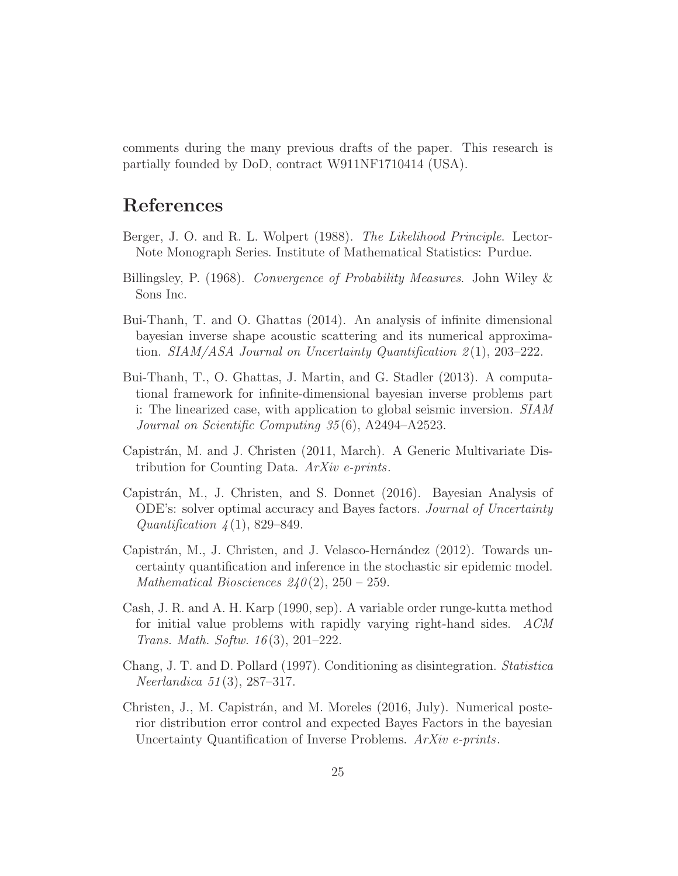comments during the many previous drafts of the paper. This research is partially founded by DoD, contract W911NF1710414 (USA).

## References

- <span id="page-24-5"></span>Berger, J. O. and R. L. Wolpert (1988). The Likelihood Principle. Lector-Note Monograph Series. Institute of Mathematical Statistics: Purdue.
- <span id="page-24-4"></span>Billingsley, P. (1968). Convergence of Probability Measures. John Wiley & Sons Inc.
- <span id="page-24-3"></span>Bui-Thanh, T. and O. Ghattas (2014). An analysis of infinite dimensional bayesian inverse shape acoustic scattering and its numerical approximation. SIAM/ASA Journal on Uncertainty Quantification  $2(1)$ , 203–222.
- <span id="page-24-6"></span>Bui-Thanh, T., O. Ghattas, J. Martin, and G. Stadler (2013). A computational framework for infinite-dimensional bayesian inverse problems part i: The linearized case, with application to global seismic inversion. SIAM Journal on Scientific Computing 35 (6), A2494–A2523.
- <span id="page-24-9"></span>Capistrán, M. and J. Christen (2011, March). A Generic Multivariate Distribution for Counting Data. ArXiv e-prints.
- <span id="page-24-1"></span>Capistr´an, M., J. Christen, and S. Donnet (2016). Bayesian Analysis of ODE's: solver optimal accuracy and Bayes factors. Journal of Uncertainty Quantification  $\lambda(1)$ , 829–849.
- <span id="page-24-8"></span>Capistrán, M., J. Christen, and J. Velasco-Hernández (2012). Towards uncertainty quantification and inference in the stochastic sir epidemic model. Mathematical Biosciences  $240(2)$ ,  $250 - 259$ .
- <span id="page-24-7"></span>Cash, J. R. and A. H. Karp (1990, sep). A variable order runge-kutta method for initial value problems with rapidly varying right-hand sides. ACM Trans. Math. Softw. 16 (3), 201–222.
- <span id="page-24-2"></span>Chang, J. T. and D. Pollard (1997). Conditioning as disintegration. Statistica Neerlandica 51 (3), 287–317.
- <span id="page-24-0"></span>Christen, J., M. Capistrán, and M. Moreles (2016, July). Numerical posterior distribution error control and expected Bayes Factors in the bayesian Uncertainty Quantification of Inverse Problems. ArXiv e-prints.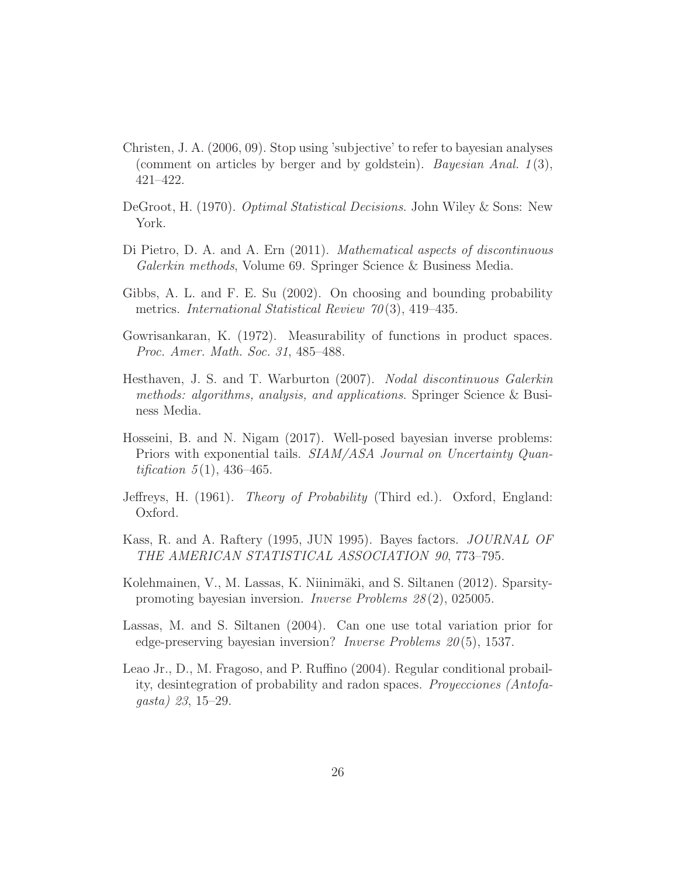- <span id="page-25-1"></span>Christen, J. A. (2006, 09). Stop using 'subjective' to refer to bayesian analyses (comment on articles by berger and by goldstein). Bayesian Anal.  $1(3)$ , 421–422.
- <span id="page-25-2"></span>DeGroot, H. (1970). Optimal Statistical Decisions. John Wiley & Sons: New York.
- <span id="page-25-8"></span>Di Pietro, D. A. and A. Ern (2011). Mathematical aspects of discontinuous Galerkin methods, Volume 69. Springer Science & Business Media.
- <span id="page-25-4"></span>Gibbs, A. L. and F. E. Su (2002). On choosing and bounding probability metrics. *International Statistical Review 70*(3), 419–435.
- <span id="page-25-5"></span>Gowrisankaran, K. (1972). Measurability of functions in product spaces. Proc. Amer. Math. Soc. 31, 485–488.
- <span id="page-25-9"></span>Hesthaven, J. S. and T. Warburton (2007). Nodal discontinuous Galerkin methods: algorithms, analysis, and applications. Springer Science & Business Media.
- <span id="page-25-0"></span>Hosseini, B. and N. Nigam (2017). Well-posed bayesian inverse problems: Priors with exponential tails. SIAM/ASA Journal on Uncertainty Quan*tification*  $5(1)$ , 436–465.
- <span id="page-25-6"></span>Jeffreys, H. (1961). Theory of Probability (Third ed.). Oxford, England: Oxford.
- <span id="page-25-7"></span>Kass, R. and A. Raftery (1995, JUN 1995). Bayes factors. JOURNAL OF THE AMERICAN STATISTICAL ASSOCIATION 90, 773–795.
- <span id="page-25-11"></span>Kolehmainen, V., M. Lassas, K. Niinimäki, and S. Siltanen (2012). Sparsitypromoting bayesian inversion. Inverse Problems 28 (2), 025005.
- <span id="page-25-10"></span>Lassas, M. and S. Siltanen (2004). Can one use total variation prior for edge-preserving bayesian inversion? *Inverse Problems*  $20(5)$ , 1537.
- <span id="page-25-3"></span>Leao Jr., D., M. Fragoso, and P. Ruffino (2004). Regular conditional probaility, desintegration of probability and radon spaces. Proyecciones (Antofagasta) 23, 15–29.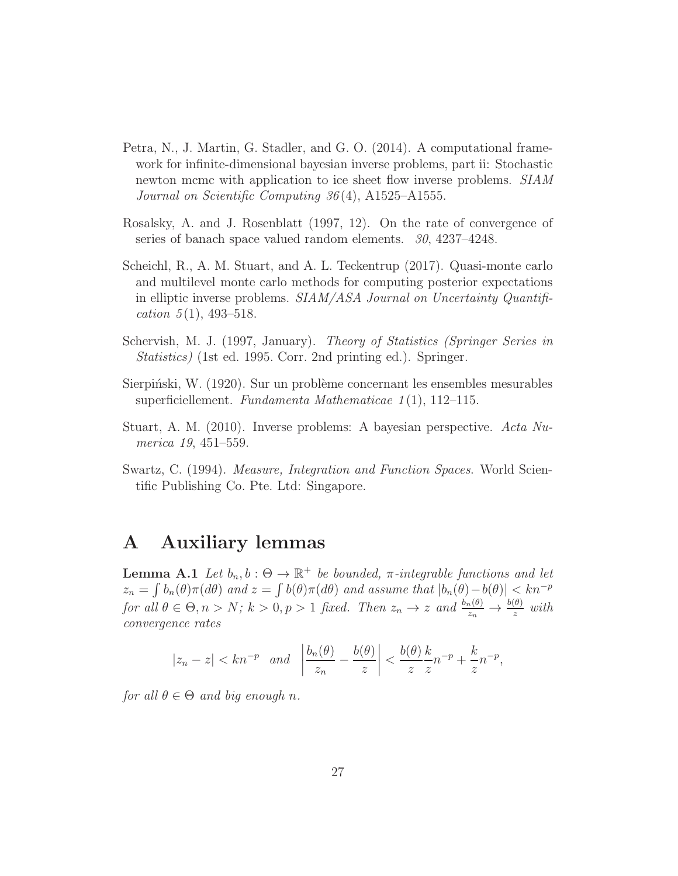- <span id="page-26-6"></span>Petra, N., J. Martin, G. Stadler, and G. O. (2014). A computational framework for infinite-dimensional bayesian inverse problems, part ii: Stochastic newton mcmc with application to ice sheet flow inverse problems. SIAM Journal on Scientific Computing 36 (4), A1525–A1555.
- <span id="page-26-7"></span>Rosalsky, A. and J. Rosenblatt (1997, 12). On the rate of convergence of series of banach space valued random elements.  $30, 4237-4248$ .
- <span id="page-26-3"></span>Scheichl, R., A. M. Stuart, and A. L. Teckentrup (2017). Quasi-monte carlo and multilevel monte carlo methods for computing posterior expectations in elliptic inverse problems. SIAM/ASA Journal on Uncertainty Quantification  $5(1)$ , 493-518.
- <span id="page-26-1"></span>Schervish, M. J. (1997, January). Theory of Statistics (Springer Series in Statistics) (1st ed. 1995. Corr. 2nd printing ed.). Springer.
- <span id="page-26-2"></span>Sierpinski, W. (1920). Sur un problème concernant les ensembles mesurables superficiellement. Fundamenta Mathematicae  $1(1)$ , 112–115.
- <span id="page-26-0"></span>Stuart, A. M. (2010). Inverse problems: A bayesian perspective. Acta Numerica 19, 451–559.
- <span id="page-26-4"></span>Swartz, C. (1994). Measure, Integration and Function Spaces. World Scientific Publishing Co. Pte. Ltd: Singapore.

## A Auxiliary lemmas

<span id="page-26-5"></span>**Lemma A.1** Let  $b_n, b : \Theta \to \mathbb{R}^+$  be bounded,  $\pi$ -integrable functions and let  $z_n = \int b_n(\theta) \pi(d\theta)$  and  $z = \int b(\theta) \pi(d\theta)$  and assume that  $|b_n(\theta) - b(\theta)| < kn^{-p}$ for all  $\theta \in \Theta, n > N$ ;  $k > 0, p > 1$  fixed. Then  $z_n \to z$  and  $\frac{b_n(\theta)}{z_n} \to \frac{b(\theta)}{z}$  with convergence rates

$$
|z_n - z| < kn^{-p} \quad \text{and} \quad \left| \frac{b_n(\theta)}{z_n} - \frac{b(\theta)}{z} \right| < \frac{b(\theta)}{z} \frac{k}{z} n^{-p} + \frac{k}{z} n^{-p},
$$

for all  $\theta \in \Theta$  and big enough n.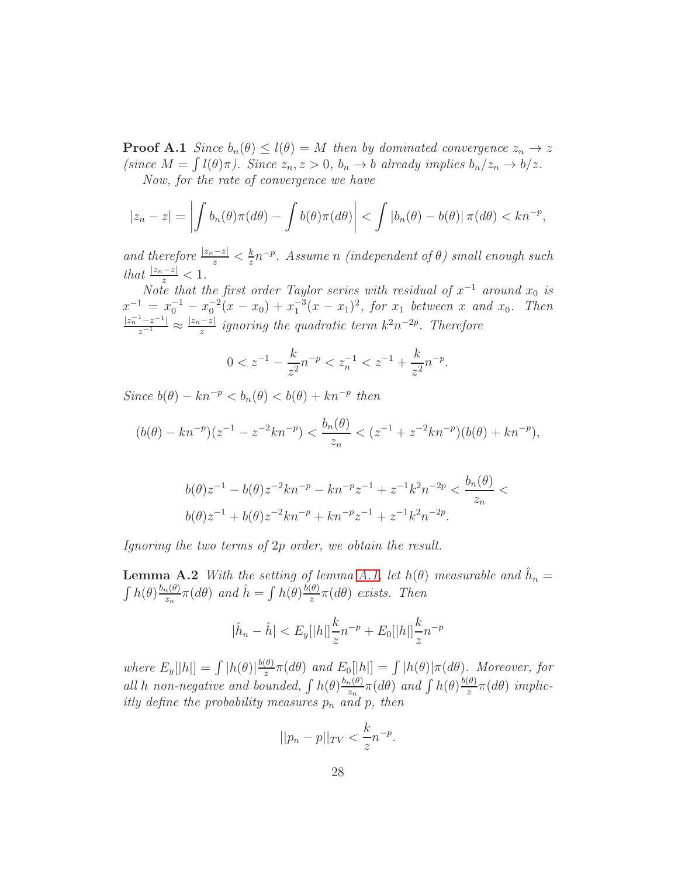**Proof A.1** Since  $b_n(\theta) \leq l(\theta) = M$  then by dominated convergence  $z_n \to z$ (since  $M = \int l(\theta)\pi$ ). Since  $z_n, z > 0$ ,  $b_n \to b$  already implies  $b_n/z_n \to b/z$ . Now, for the rate of convergence we have

$$
|z_n - z| = \left| \int b_n(\theta) \pi(d\theta) - \int b(\theta) \pi(d\theta) \right| < \int |b_n(\theta) - b(\theta)| \pi(d\theta) < kn^{-p},
$$

and therefore  $\frac{|z_n-z|}{z} < \frac{k}{z}$  $\frac{k}{z}n^{-p}$ . Assume n (independent of  $\theta$ ) small enough such that  $\frac{|z_n-z|}{z} < 1$ .

Note that the first order Taylor series with residual of  $x^{-1}$  around  $x_0$  is  $x^{-1} = x_0^{-1} - x_0^{-2}(x - x_0) + x_1^{-3}(x - x_1)^2$ , for  $x_1$  between x and  $x_0$ . Then  $\frac{|z_n^{-1}-z^{-1}|}{z^{-1}} \approx \frac{|z_n-z|}{z}$  ignoring the quadratic term  $k^2n^{-2p}$ . Therefore

$$
0 < z^{-1} - \frac{k}{z^2} n^{-p} < z_n^{-1} < z^{-1} + \frac{k}{z^2} n^{-p}.
$$

Since  $b(\theta) - kn^{-p} < b_n(\theta) < b(\theta) + kn^{-p}$  then

$$
(b(\theta) - kn^{-p})(z^{-1} - z^{-2}kn^{-p}) < \frac{b_n(\theta)}{z_n} < (z^{-1} + z^{-2}kn^{-p})(b(\theta) + kn^{-p}),
$$

$$
b(\theta)z^{-1} - b(\theta)z^{-2}kn^{-p} - kn^{-p}z^{-1} + z^{-1}k^2n^{-2p} < \frac{b_n(\theta)}{z_n} <
$$
  

$$
b(\theta)z^{-1} + b(\theta)z^{-2}kn^{-p} + kn^{-p}z^{-1} + z^{-1}k^2n^{-2p}.
$$

<span id="page-27-0"></span>Ignoring the two terms of 2p order, we obtain the result.

**Lemma A.2** With the setting of lemma [A.1,](#page-26-5) let  $h(\theta)$  measurable and  $\hat{h}_n =$  $\int h(\theta) \frac{b_n(\theta)}{z_n}$  $\int_{z_n}^{\infty} \pi(d\theta)$  and  $\hat{h} = \int h(\theta) \frac{b(\theta)}{z}$  $rac{(\theta)}{z}$  $\pi(d\theta)$  exists. Then

$$
|\hat{h}_n - \hat{h}| < E_y[|h|] \frac{k}{z} n^{-p} + E_0[|h|] \frac{k}{z} n^{-p}
$$

where  $E_y[|h|] = \int |h(\theta)| \frac{b(\theta)}{z}$  $\frac{d\theta}{dz}\pi(d\theta)$  and  $E_0[|h|] = \int |h(\theta)|\pi(d\theta)$ . Moreover, for all h non-negative and bounded,  $\int h(\theta) \frac{b_n(\theta)}{z_n}$  $\frac{h_1(\theta)}{z_n}\pi(d\theta)$  and  $\int h(\theta)\frac{b(\theta)}{z}$  $rac{\theta}{z}$  $\pi(d\theta)$  implicitly define the probability measures  $p_n$  and  $p$ , then

$$
||p_n - p||_{TV} < \frac{k}{z} n^{-p}.
$$